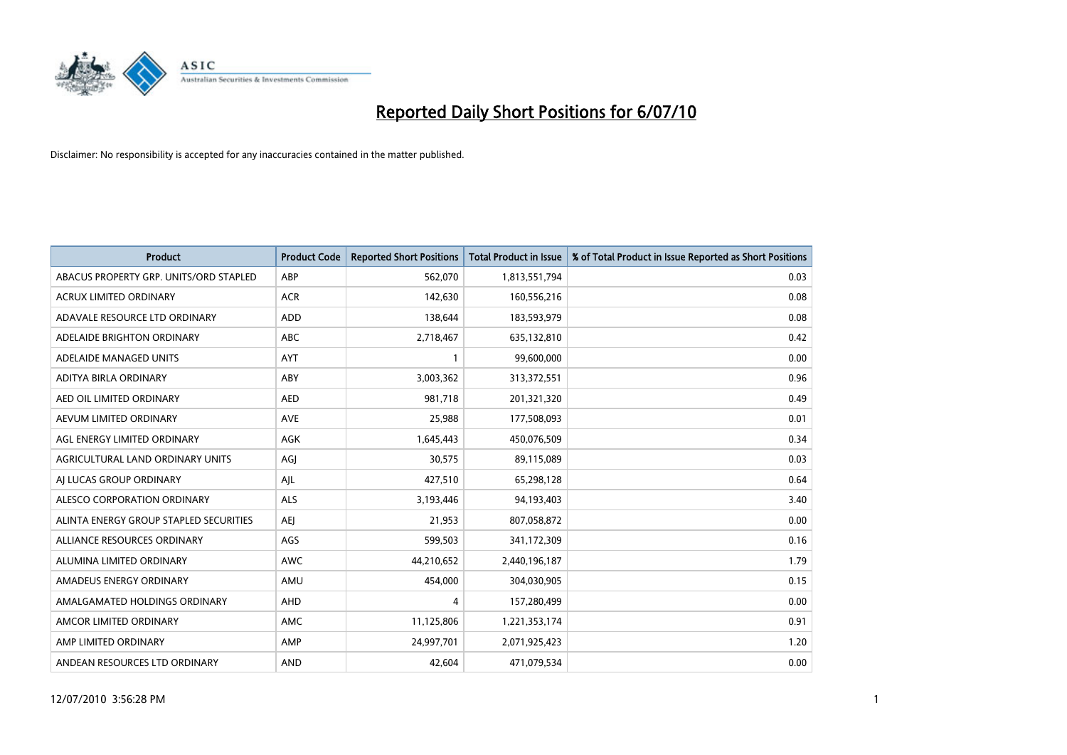

| <b>Product</b>                         | <b>Product Code</b> | <b>Reported Short Positions</b> | Total Product in Issue | % of Total Product in Issue Reported as Short Positions |
|----------------------------------------|---------------------|---------------------------------|------------------------|---------------------------------------------------------|
| ABACUS PROPERTY GRP. UNITS/ORD STAPLED | ABP                 | 562,070                         | 1,813,551,794          | 0.03                                                    |
| ACRUX LIMITED ORDINARY                 | <b>ACR</b>          | 142,630                         | 160,556,216            | 0.08                                                    |
| ADAVALE RESOURCE LTD ORDINARY          | <b>ADD</b>          | 138,644                         | 183,593,979            | 0.08                                                    |
| ADELAIDE BRIGHTON ORDINARY             | <b>ABC</b>          | 2,718,467                       | 635,132,810            | 0.42                                                    |
| ADELAIDE MANAGED UNITS                 | <b>AYT</b>          |                                 | 99,600,000             | 0.00                                                    |
| ADITYA BIRLA ORDINARY                  | ABY                 | 3,003,362                       | 313,372,551            | 0.96                                                    |
| AED OIL LIMITED ORDINARY               | <b>AED</b>          | 981.718                         | 201,321,320            | 0.49                                                    |
| AEVUM LIMITED ORDINARY                 | <b>AVE</b>          | 25,988                          | 177,508,093            | 0.01                                                    |
| AGL ENERGY LIMITED ORDINARY            | AGK                 | 1,645,443                       | 450,076,509            | 0.34                                                    |
| AGRICULTURAL LAND ORDINARY UNITS       | AGJ                 | 30,575                          | 89,115,089             | 0.03                                                    |
| AJ LUCAS GROUP ORDINARY                | AJL                 | 427,510                         | 65,298,128             | 0.64                                                    |
| ALESCO CORPORATION ORDINARY            | <b>ALS</b>          | 3,193,446                       | 94,193,403             | 3.40                                                    |
| ALINTA ENERGY GROUP STAPLED SECURITIES | AEJ                 | 21,953                          | 807,058,872            | 0.00                                                    |
| ALLIANCE RESOURCES ORDINARY            | AGS                 | 599,503                         | 341,172,309            | 0.16                                                    |
| ALUMINA LIMITED ORDINARY               | <b>AWC</b>          | 44,210,652                      | 2,440,196,187          | 1.79                                                    |
| AMADEUS ENERGY ORDINARY                | AMU                 | 454,000                         | 304,030,905            | 0.15                                                    |
| AMALGAMATED HOLDINGS ORDINARY          | AHD                 | 4                               | 157,280,499            | 0.00                                                    |
| AMCOR LIMITED ORDINARY                 | <b>AMC</b>          | 11,125,806                      | 1,221,353,174          | 0.91                                                    |
| AMP LIMITED ORDINARY                   | AMP                 | 24,997,701                      | 2,071,925,423          | 1.20                                                    |
| ANDEAN RESOURCES LTD ORDINARY          | <b>AND</b>          | 42.604                          | 471,079,534            | 0.00                                                    |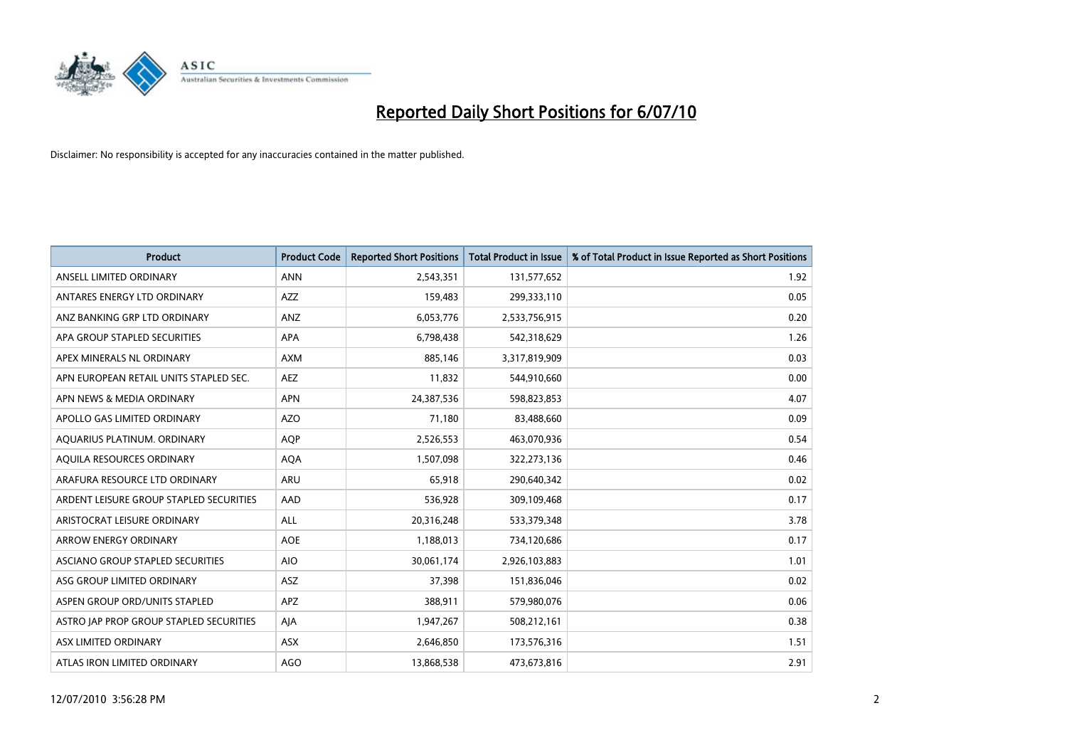

| <b>Product</b>                          | <b>Product Code</b> | <b>Reported Short Positions</b> | Total Product in Issue | % of Total Product in Issue Reported as Short Positions |
|-----------------------------------------|---------------------|---------------------------------|------------------------|---------------------------------------------------------|
| ANSELL LIMITED ORDINARY                 | <b>ANN</b>          | 2,543,351                       | 131,577,652            | 1.92                                                    |
| ANTARES ENERGY LTD ORDINARY             | <b>AZZ</b>          | 159,483                         | 299,333,110            | 0.05                                                    |
| ANZ BANKING GRP LTD ORDINARY            | <b>ANZ</b>          | 6,053,776                       | 2,533,756,915          | 0.20                                                    |
| APA GROUP STAPLED SECURITIES            | <b>APA</b>          | 6,798,438                       | 542,318,629            | 1.26                                                    |
| APEX MINERALS NL ORDINARY               | <b>AXM</b>          | 885,146                         | 3,317,819,909          | 0.03                                                    |
| APN EUROPEAN RETAIL UNITS STAPLED SEC.  | <b>AEZ</b>          | 11,832                          | 544,910,660            | 0.00                                                    |
| APN NEWS & MEDIA ORDINARY               | <b>APN</b>          | 24,387,536                      | 598,823,853            | 4.07                                                    |
| APOLLO GAS LIMITED ORDINARY             | <b>AZO</b>          | 71,180                          | 83,488,660             | 0.09                                                    |
| AQUARIUS PLATINUM. ORDINARY             | <b>AOP</b>          | 2,526,553                       | 463,070,936            | 0.54                                                    |
| AQUILA RESOURCES ORDINARY               | <b>AQA</b>          | 1,507,098                       | 322,273,136            | 0.46                                                    |
| ARAFURA RESOURCE LTD ORDINARY           | <b>ARU</b>          | 65,918                          | 290,640,342            | 0.02                                                    |
| ARDENT LEISURE GROUP STAPLED SECURITIES | AAD                 | 536,928                         | 309,109,468            | 0.17                                                    |
| ARISTOCRAT LEISURE ORDINARY             | ALL                 | 20,316,248                      | 533,379,348            | 3.78                                                    |
| <b>ARROW ENERGY ORDINARY</b>            | <b>AOE</b>          | 1,188,013                       | 734,120,686            | 0.17                                                    |
| ASCIANO GROUP STAPLED SECURITIES        | <b>AIO</b>          | 30,061,174                      | 2,926,103,883          | 1.01                                                    |
| ASG GROUP LIMITED ORDINARY              | ASZ                 | 37,398                          | 151,836,046            | 0.02                                                    |
| ASPEN GROUP ORD/UNITS STAPLED           | <b>APZ</b>          | 388,911                         | 579,980,076            | 0.06                                                    |
| ASTRO JAP PROP GROUP STAPLED SECURITIES | AJA                 | 1,947,267                       | 508,212,161            | 0.38                                                    |
| ASX LIMITED ORDINARY                    | <b>ASX</b>          | 2,646,850                       | 173,576,316            | 1.51                                                    |
| ATLAS IRON LIMITED ORDINARY             | AGO                 | 13,868,538                      | 473,673,816            | 2.91                                                    |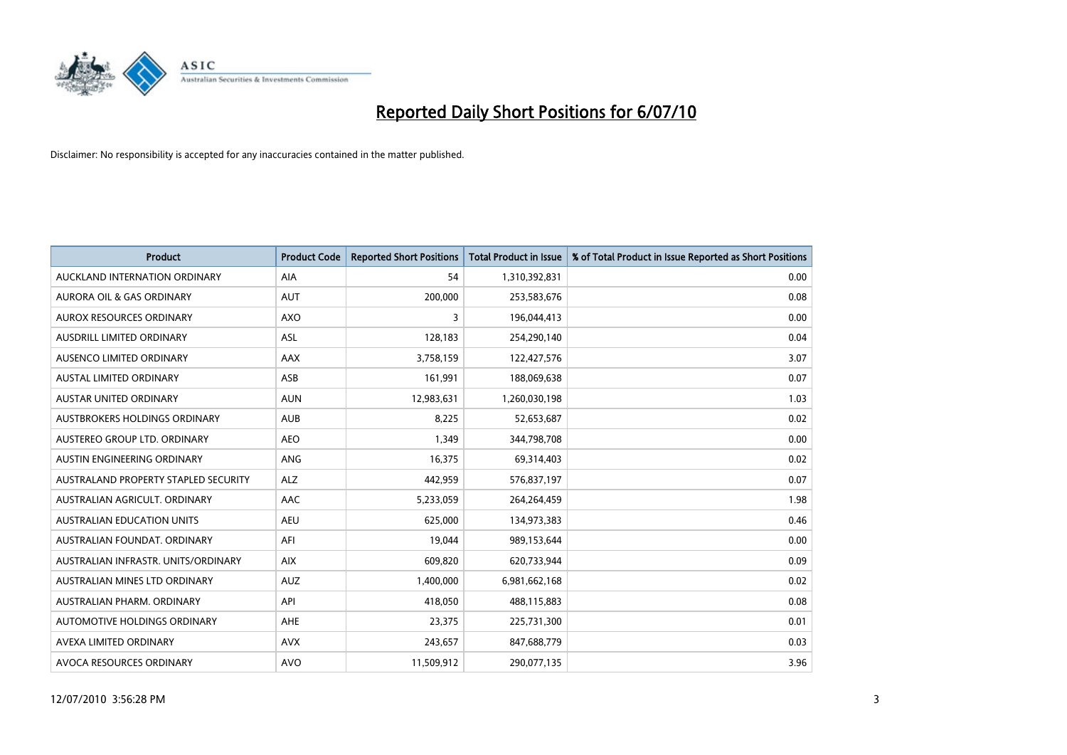

| <b>Product</b>                       | <b>Product Code</b> | <b>Reported Short Positions</b> | <b>Total Product in Issue</b> | % of Total Product in Issue Reported as Short Positions |
|--------------------------------------|---------------------|---------------------------------|-------------------------------|---------------------------------------------------------|
| AUCKLAND INTERNATION ORDINARY        | <b>AIA</b>          | 54                              | 1,310,392,831                 | 0.00                                                    |
| AURORA OIL & GAS ORDINARY            | <b>AUT</b>          | 200,000                         | 253,583,676                   | 0.08                                                    |
| <b>AUROX RESOURCES ORDINARY</b>      | <b>AXO</b>          | 3                               | 196,044,413                   | 0.00                                                    |
| AUSDRILL LIMITED ORDINARY            | <b>ASL</b>          | 128,183                         | 254,290,140                   | 0.04                                                    |
| AUSENCO LIMITED ORDINARY             | <b>AAX</b>          | 3,758,159                       | 122,427,576                   | 3.07                                                    |
| <b>AUSTAL LIMITED ORDINARY</b>       | ASB                 | 161,991                         | 188,069,638                   | 0.07                                                    |
| <b>AUSTAR UNITED ORDINARY</b>        | <b>AUN</b>          | 12,983,631                      | 1,260,030,198                 | 1.03                                                    |
| AUSTBROKERS HOLDINGS ORDINARY        | <b>AUB</b>          | 8,225                           | 52,653,687                    | 0.02                                                    |
| AUSTEREO GROUP LTD. ORDINARY         | <b>AEO</b>          | 1,349                           | 344,798,708                   | 0.00                                                    |
| AUSTIN ENGINEERING ORDINARY          | ANG                 | 16,375                          | 69,314,403                    | 0.02                                                    |
| AUSTRALAND PROPERTY STAPLED SECURITY | <b>ALZ</b>          | 442,959                         | 576,837,197                   | 0.07                                                    |
| AUSTRALIAN AGRICULT, ORDINARY        | <b>AAC</b>          | 5,233,059                       | 264,264,459                   | 1.98                                                    |
| <b>AUSTRALIAN EDUCATION UNITS</b>    | <b>AEU</b>          | 625.000                         | 134,973,383                   | 0.46                                                    |
| AUSTRALIAN FOUNDAT, ORDINARY         | AFI                 | 19,044                          | 989,153,644                   | 0.00                                                    |
| AUSTRALIAN INFRASTR, UNITS/ORDINARY  | <b>AIX</b>          | 609.820                         | 620,733,944                   | 0.09                                                    |
| AUSTRALIAN MINES LTD ORDINARY        | <b>AUZ</b>          | 1,400,000                       | 6,981,662,168                 | 0.02                                                    |
| AUSTRALIAN PHARM. ORDINARY           | API                 | 418,050                         | 488,115,883                   | 0.08                                                    |
| AUTOMOTIVE HOLDINGS ORDINARY         | <b>AHE</b>          | 23,375                          | 225,731,300                   | 0.01                                                    |
| AVEXA LIMITED ORDINARY               | <b>AVX</b>          | 243,657                         | 847,688,779                   | 0.03                                                    |
| AVOCA RESOURCES ORDINARY             | <b>AVO</b>          | 11,509,912                      | 290,077,135                   | 3.96                                                    |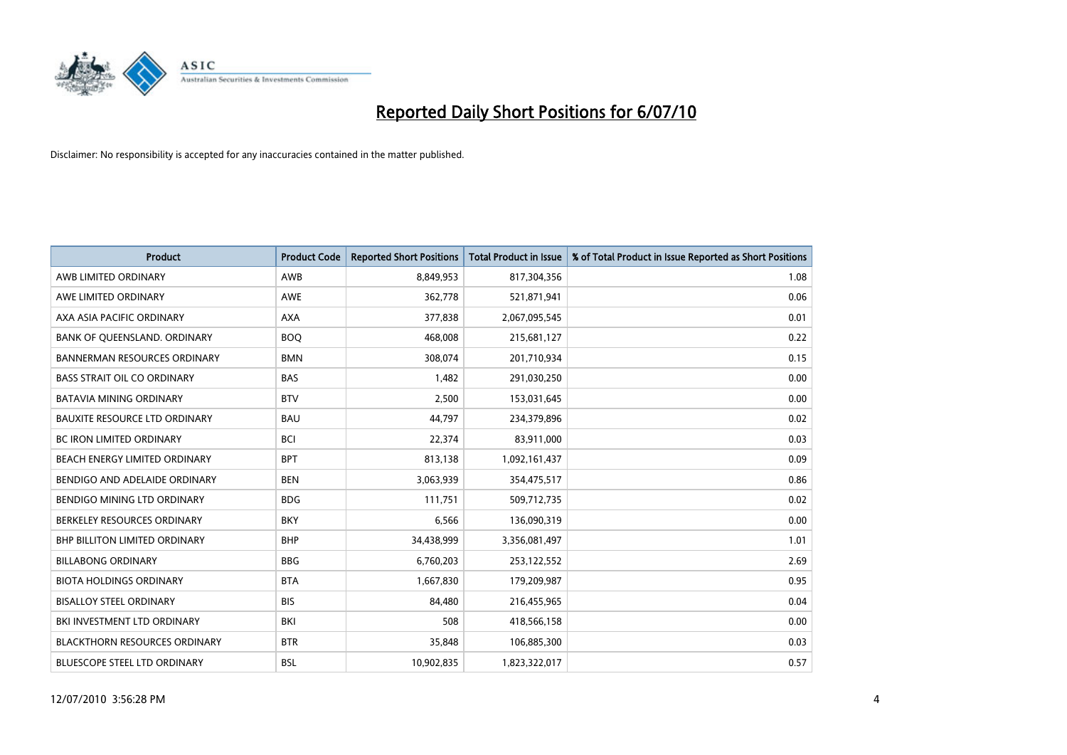

| <b>Product</b>                       | <b>Product Code</b> | <b>Reported Short Positions</b> | <b>Total Product in Issue</b> | % of Total Product in Issue Reported as Short Positions |
|--------------------------------------|---------------------|---------------------------------|-------------------------------|---------------------------------------------------------|
| AWB LIMITED ORDINARY                 | AWB                 | 8,849,953                       | 817,304,356                   | 1.08                                                    |
| AWE LIMITED ORDINARY                 | <b>AWE</b>          | 362,778                         | 521,871,941                   | 0.06                                                    |
| AXA ASIA PACIFIC ORDINARY            | <b>AXA</b>          | 377,838                         | 2,067,095,545                 | 0.01                                                    |
| BANK OF QUEENSLAND. ORDINARY         | <b>BOO</b>          | 468,008                         | 215,681,127                   | 0.22                                                    |
| <b>BANNERMAN RESOURCES ORDINARY</b>  | <b>BMN</b>          | 308,074                         | 201,710,934                   | 0.15                                                    |
| <b>BASS STRAIT OIL CO ORDINARY</b>   | <b>BAS</b>          | 1,482                           | 291,030,250                   | 0.00                                                    |
| <b>BATAVIA MINING ORDINARY</b>       | <b>BTV</b>          | 2,500                           | 153,031,645                   | 0.00                                                    |
| <b>BAUXITE RESOURCE LTD ORDINARY</b> | <b>BAU</b>          | 44,797                          | 234,379,896                   | 0.02                                                    |
| BC IRON LIMITED ORDINARY             | <b>BCI</b>          | 22,374                          | 83,911,000                    | 0.03                                                    |
| BEACH ENERGY LIMITED ORDINARY        | <b>BPT</b>          | 813,138                         | 1,092,161,437                 | 0.09                                                    |
| BENDIGO AND ADELAIDE ORDINARY        | <b>BEN</b>          | 3,063,939                       | 354,475,517                   | 0.86                                                    |
| <b>BENDIGO MINING LTD ORDINARY</b>   | <b>BDG</b>          | 111,751                         | 509,712,735                   | 0.02                                                    |
| BERKELEY RESOURCES ORDINARY          | <b>BKY</b>          | 6,566                           | 136,090,319                   | 0.00                                                    |
| <b>BHP BILLITON LIMITED ORDINARY</b> | <b>BHP</b>          | 34,438,999                      | 3,356,081,497                 | 1.01                                                    |
| <b>BILLABONG ORDINARY</b>            | <b>BBG</b>          | 6,760,203                       | 253,122,552                   | 2.69                                                    |
| <b>BIOTA HOLDINGS ORDINARY</b>       | <b>BTA</b>          | 1,667,830                       | 179,209,987                   | 0.95                                                    |
| <b>BISALLOY STEEL ORDINARY</b>       | <b>BIS</b>          | 84,480                          | 216,455,965                   | 0.04                                                    |
| BKI INVESTMENT LTD ORDINARY          | BKI                 | 508                             | 418,566,158                   | 0.00                                                    |
| <b>BLACKTHORN RESOURCES ORDINARY</b> | <b>BTR</b>          | 35,848                          | 106,885,300                   | 0.03                                                    |
| <b>BLUESCOPE STEEL LTD ORDINARY</b>  | <b>BSL</b>          | 10,902,835                      | 1,823,322,017                 | 0.57                                                    |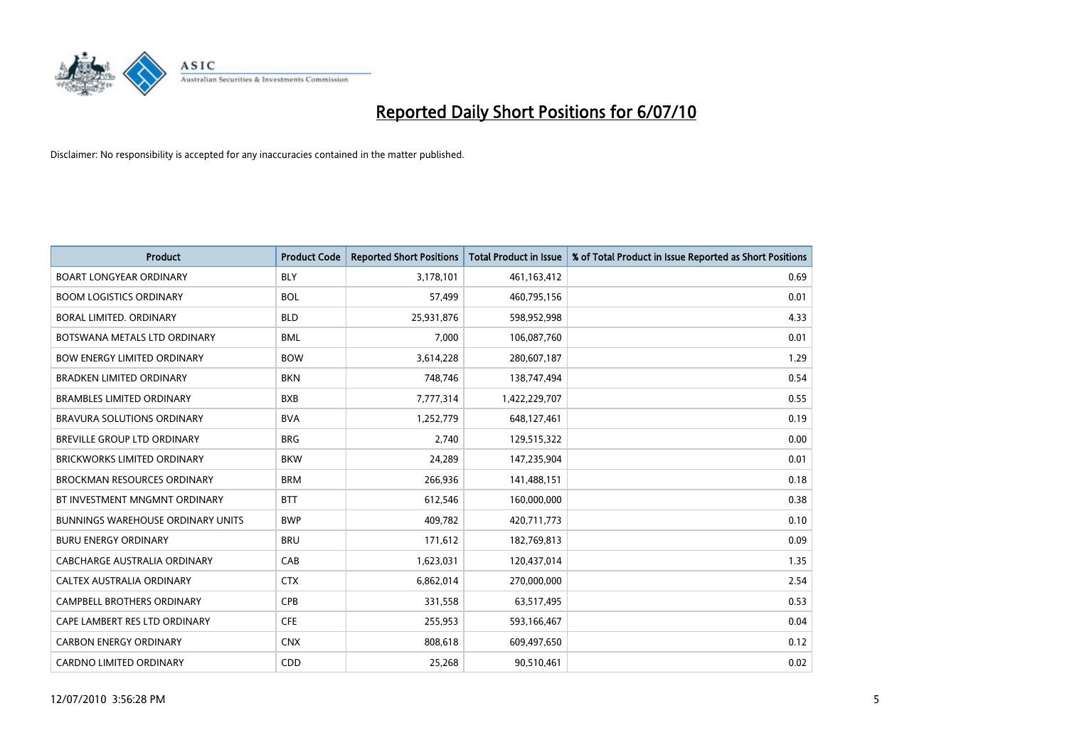

| <b>Product</b>                           | <b>Product Code</b> | <b>Reported Short Positions</b> | <b>Total Product in Issue</b> | % of Total Product in Issue Reported as Short Positions |
|------------------------------------------|---------------------|---------------------------------|-------------------------------|---------------------------------------------------------|
| <b>BOART LONGYEAR ORDINARY</b>           | <b>BLY</b>          | 3,178,101                       | 461,163,412                   | 0.69                                                    |
| <b>BOOM LOGISTICS ORDINARY</b>           | <b>BOL</b>          | 57.499                          | 460,795,156                   | 0.01                                                    |
| BORAL LIMITED, ORDINARY                  | <b>BLD</b>          | 25,931,876                      | 598,952,998                   | 4.33                                                    |
| BOTSWANA METALS LTD ORDINARY             | <b>BML</b>          | 7,000                           | 106,087,760                   | 0.01                                                    |
| <b>BOW ENERGY LIMITED ORDINARY</b>       | <b>BOW</b>          | 3,614,228                       | 280,607,187                   | 1.29                                                    |
| <b>BRADKEN LIMITED ORDINARY</b>          | <b>BKN</b>          | 748,746                         | 138,747,494                   | 0.54                                                    |
| <b>BRAMBLES LIMITED ORDINARY</b>         | <b>BXB</b>          | 7,777,314                       | 1,422,229,707                 | 0.55                                                    |
| <b>BRAVURA SOLUTIONS ORDINARY</b>        | <b>BVA</b>          | 1,252,779                       | 648,127,461                   | 0.19                                                    |
| BREVILLE GROUP LTD ORDINARY              | <b>BRG</b>          | 2,740                           | 129,515,322                   | 0.00                                                    |
| <b>BRICKWORKS LIMITED ORDINARY</b>       | <b>BKW</b>          | 24,289                          | 147,235,904                   | 0.01                                                    |
| <b>BROCKMAN RESOURCES ORDINARY</b>       | <b>BRM</b>          | 266,936                         | 141,488,151                   | 0.18                                                    |
| BT INVESTMENT MNGMNT ORDINARY            | <b>BTT</b>          | 612,546                         | 160,000,000                   | 0.38                                                    |
| <b>BUNNINGS WAREHOUSE ORDINARY UNITS</b> | <b>BWP</b>          | 409.782                         | 420,711,773                   | 0.10                                                    |
| <b>BURU ENERGY ORDINARY</b>              | <b>BRU</b>          | 171,612                         | 182,769,813                   | 0.09                                                    |
| CABCHARGE AUSTRALIA ORDINARY             | CAB                 | 1,623,031                       | 120,437,014                   | 1.35                                                    |
| CALTEX AUSTRALIA ORDINARY                | <b>CTX</b>          | 6,862,014                       | 270,000,000                   | 2.54                                                    |
| <b>CAMPBELL BROTHERS ORDINARY</b>        | CPB                 | 331,558                         | 63,517,495                    | 0.53                                                    |
| CAPE LAMBERT RES LTD ORDINARY            | <b>CFE</b>          | 255,953                         | 593,166,467                   | 0.04                                                    |
| <b>CARBON ENERGY ORDINARY</b>            | <b>CNX</b>          | 808,618                         | 609,497,650                   | 0.12                                                    |
| <b>CARDNO LIMITED ORDINARY</b>           | CDD                 | 25,268                          | 90,510,461                    | 0.02                                                    |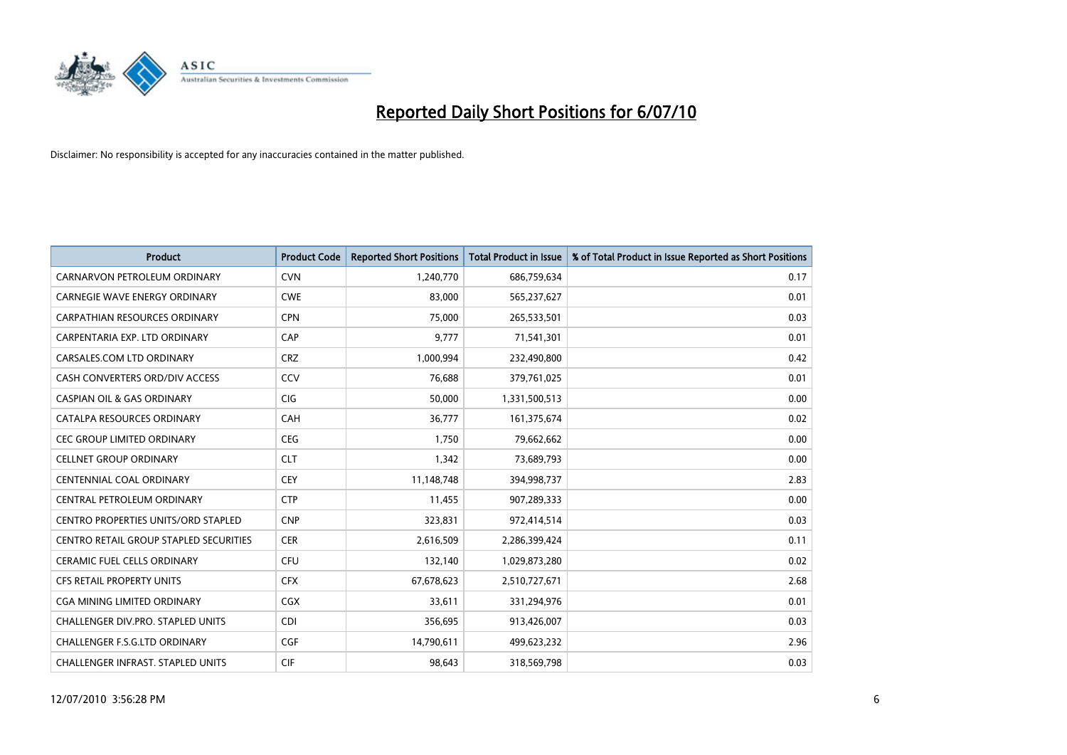

| <b>Product</b>                             | <b>Product Code</b> | <b>Reported Short Positions</b> | <b>Total Product in Issue</b> | % of Total Product in Issue Reported as Short Positions |
|--------------------------------------------|---------------------|---------------------------------|-------------------------------|---------------------------------------------------------|
| CARNARVON PETROLEUM ORDINARY               | <b>CVN</b>          | 1,240,770                       | 686,759,634                   | 0.17                                                    |
| CARNEGIE WAVE ENERGY ORDINARY              | <b>CWE</b>          | 83,000                          | 565,237,627                   | 0.01                                                    |
| <b>CARPATHIAN RESOURCES ORDINARY</b>       | <b>CPN</b>          | 75,000                          | 265,533,501                   | 0.03                                                    |
| CARPENTARIA EXP. LTD ORDINARY              | CAP                 | 9,777                           | 71,541,301                    | 0.01                                                    |
| CARSALES.COM LTD ORDINARY                  | <b>CRZ</b>          | 1,000,994                       | 232,490,800                   | 0.42                                                    |
| CASH CONVERTERS ORD/DIV ACCESS             | CCV                 | 76,688                          | 379,761,025                   | 0.01                                                    |
| <b>CASPIAN OIL &amp; GAS ORDINARY</b>      | <b>CIG</b>          | 50.000                          | 1,331,500,513                 | 0.00                                                    |
| CATALPA RESOURCES ORDINARY                 | <b>CAH</b>          | 36,777                          | 161,375,674                   | 0.02                                                    |
| CEC GROUP LIMITED ORDINARY                 | <b>CEG</b>          | 1,750                           | 79,662,662                    | 0.00                                                    |
| <b>CELLNET GROUP ORDINARY</b>              | <b>CLT</b>          | 1,342                           | 73,689,793                    | 0.00                                                    |
| CENTENNIAL COAL ORDINARY                   | <b>CEY</b>          | 11,148,748                      | 394,998,737                   | 2.83                                                    |
| CENTRAL PETROLEUM ORDINARY                 | <b>CTP</b>          | 11,455                          | 907,289,333                   | 0.00                                                    |
| <b>CENTRO PROPERTIES UNITS/ORD STAPLED</b> | <b>CNP</b>          | 323,831                         | 972,414,514                   | 0.03                                                    |
| CENTRO RETAIL GROUP STAPLED SECURITIES     | <b>CER</b>          | 2,616,509                       | 2,286,399,424                 | 0.11                                                    |
| <b>CERAMIC FUEL CELLS ORDINARY</b>         | <b>CFU</b>          | 132,140                         | 1,029,873,280                 | 0.02                                                    |
| CFS RETAIL PROPERTY UNITS                  | <b>CFX</b>          | 67,678,623                      | 2,510,727,671                 | 2.68                                                    |
| <b>CGA MINING LIMITED ORDINARY</b>         | <b>CGX</b>          | 33,611                          | 331,294,976                   | 0.01                                                    |
| CHALLENGER DIV.PRO. STAPLED UNITS          | <b>CDI</b>          | 356,695                         | 913,426,007                   | 0.03                                                    |
| <b>CHALLENGER F.S.G.LTD ORDINARY</b>       | <b>CGF</b>          | 14,790,611                      | 499,623,232                   | 2.96                                                    |
| <b>CHALLENGER INFRAST, STAPLED UNITS</b>   | <b>CIF</b>          | 98.643                          | 318,569,798                   | 0.03                                                    |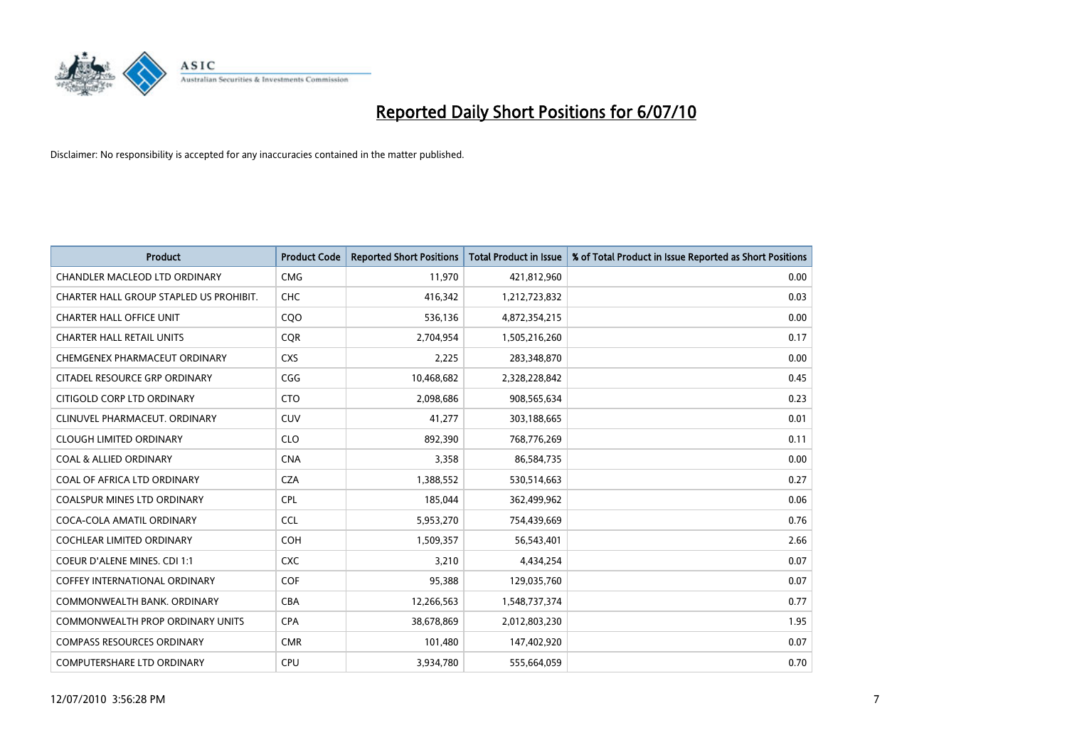

| <b>Product</b>                          | <b>Product Code</b> | <b>Reported Short Positions</b> | Total Product in Issue | % of Total Product in Issue Reported as Short Positions |
|-----------------------------------------|---------------------|---------------------------------|------------------------|---------------------------------------------------------|
| <b>CHANDLER MACLEOD LTD ORDINARY</b>    | <b>CMG</b>          | 11,970                          | 421,812,960            | 0.00                                                    |
| CHARTER HALL GROUP STAPLED US PROHIBIT. | <b>CHC</b>          | 416,342                         | 1,212,723,832          | 0.03                                                    |
| <b>CHARTER HALL OFFICE UNIT</b>         | COO                 | 536,136                         | 4,872,354,215          | 0.00                                                    |
| <b>CHARTER HALL RETAIL UNITS</b>        | <b>COR</b>          | 2,704,954                       | 1,505,216,260          | 0.17                                                    |
| CHEMGENEX PHARMACEUT ORDINARY           | <b>CXS</b>          | 2,225                           | 283,348,870            | 0.00                                                    |
| CITADEL RESOURCE GRP ORDINARY           | CGG                 | 10,468,682                      | 2,328,228,842          | 0.45                                                    |
| CITIGOLD CORP LTD ORDINARY              | <b>CTO</b>          | 2,098,686                       | 908,565,634            | 0.23                                                    |
| CLINUVEL PHARMACEUT. ORDINARY           | <b>CUV</b>          | 41,277                          | 303,188,665            | 0.01                                                    |
| <b>CLOUGH LIMITED ORDINARY</b>          | <b>CLO</b>          | 892,390                         | 768,776,269            | 0.11                                                    |
| <b>COAL &amp; ALLIED ORDINARY</b>       | <b>CNA</b>          | 3,358                           | 86,584,735             | 0.00                                                    |
| COAL OF AFRICA LTD ORDINARY             | <b>CZA</b>          | 1,388,552                       | 530,514,663            | 0.27                                                    |
| <b>COALSPUR MINES LTD ORDINARY</b>      | <b>CPL</b>          | 185,044                         | 362,499,962            | 0.06                                                    |
| COCA-COLA AMATIL ORDINARY               | <b>CCL</b>          | 5,953,270                       | 754,439,669            | 0.76                                                    |
| <b>COCHLEAR LIMITED ORDINARY</b>        | COH                 | 1,509,357                       | 56,543,401             | 2.66                                                    |
| <b>COEUR D'ALENE MINES. CDI 1:1</b>     | <b>CXC</b>          | 3,210                           | 4,434,254              | 0.07                                                    |
| <b>COFFEY INTERNATIONAL ORDINARY</b>    | <b>COF</b>          | 95.388                          | 129,035,760            | 0.07                                                    |
| COMMONWEALTH BANK, ORDINARY             | <b>CBA</b>          | 12,266,563                      | 1,548,737,374          | 0.77                                                    |
| COMMONWEALTH PROP ORDINARY UNITS        | <b>CPA</b>          | 38,678,869                      | 2,012,803,230          | 1.95                                                    |
| <b>COMPASS RESOURCES ORDINARY</b>       | <b>CMR</b>          | 101,480                         | 147,402,920            | 0.07                                                    |
| COMPUTERSHARE LTD ORDINARY              | <b>CPU</b>          | 3,934,780                       | 555,664,059            | 0.70                                                    |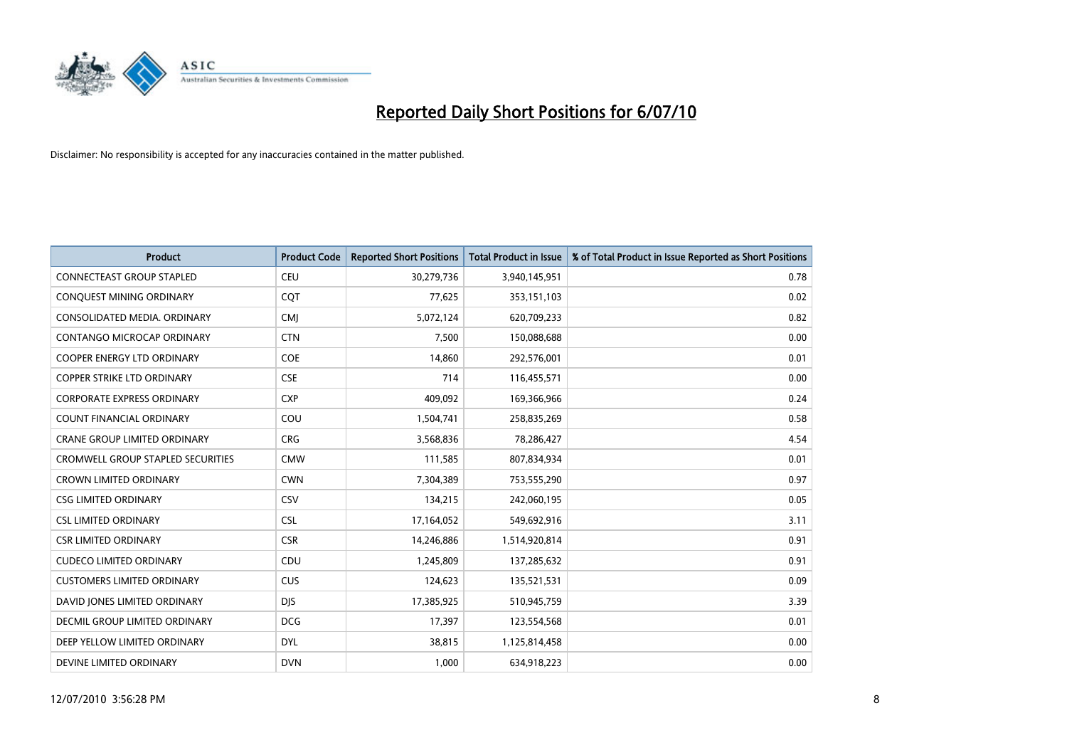

| <b>Product</b>                           | <b>Product Code</b> | <b>Reported Short Positions</b> | <b>Total Product in Issue</b> | % of Total Product in Issue Reported as Short Positions |
|------------------------------------------|---------------------|---------------------------------|-------------------------------|---------------------------------------------------------|
| <b>CONNECTEAST GROUP STAPLED</b>         | CEU                 | 30,279,736                      | 3,940,145,951                 | 0.78                                                    |
| CONQUEST MINING ORDINARY                 | COT                 | 77.625                          | 353,151,103                   | 0.02                                                    |
| CONSOLIDATED MEDIA, ORDINARY             | <b>CMJ</b>          | 5,072,124                       | 620,709,233                   | 0.82                                                    |
| CONTANGO MICROCAP ORDINARY               | <b>CTN</b>          | 7,500                           | 150,088,688                   | 0.00                                                    |
| <b>COOPER ENERGY LTD ORDINARY</b>        | <b>COE</b>          | 14,860                          | 292,576,001                   | 0.01                                                    |
| <b>COPPER STRIKE LTD ORDINARY</b>        | <b>CSE</b>          | 714                             | 116,455,571                   | 0.00                                                    |
| <b>CORPORATE EXPRESS ORDINARY</b>        | <b>CXP</b>          | 409.092                         | 169,366,966                   | 0.24                                                    |
| <b>COUNT FINANCIAL ORDINARY</b>          | COU                 | 1,504,741                       | 258,835,269                   | 0.58                                                    |
| CRANE GROUP LIMITED ORDINARY             | <b>CRG</b>          | 3,568,836                       | 78,286,427                    | 4.54                                                    |
| <b>CROMWELL GROUP STAPLED SECURITIES</b> | <b>CMW</b>          | 111,585                         | 807,834,934                   | 0.01                                                    |
| <b>CROWN LIMITED ORDINARY</b>            | <b>CWN</b>          | 7,304,389                       | 753,555,290                   | 0.97                                                    |
| <b>CSG LIMITED ORDINARY</b>              | CSV                 | 134,215                         | 242,060,195                   | 0.05                                                    |
| <b>CSL LIMITED ORDINARY</b>              | CSL                 | 17,164,052                      | 549,692,916                   | 3.11                                                    |
| <b>CSR LIMITED ORDINARY</b>              | <b>CSR</b>          | 14,246,886                      | 1,514,920,814                 | 0.91                                                    |
| <b>CUDECO LIMITED ORDINARY</b>           | CDU                 | 1,245,809                       | 137,285,632                   | 0.91                                                    |
| <b>CUSTOMERS LIMITED ORDINARY</b>        | <b>CUS</b>          | 124,623                         | 135,521,531                   | 0.09                                                    |
| DAVID JONES LIMITED ORDINARY             | <b>DJS</b>          | 17,385,925                      | 510,945,759                   | 3.39                                                    |
| DECMIL GROUP LIMITED ORDINARY            | <b>DCG</b>          | 17,397                          | 123,554,568                   | 0.01                                                    |
| DEEP YELLOW LIMITED ORDINARY             | <b>DYL</b>          | 38,815                          | 1,125,814,458                 | 0.00                                                    |
| DEVINE LIMITED ORDINARY                  | <b>DVN</b>          | 1.000                           | 634,918,223                   | 0.00                                                    |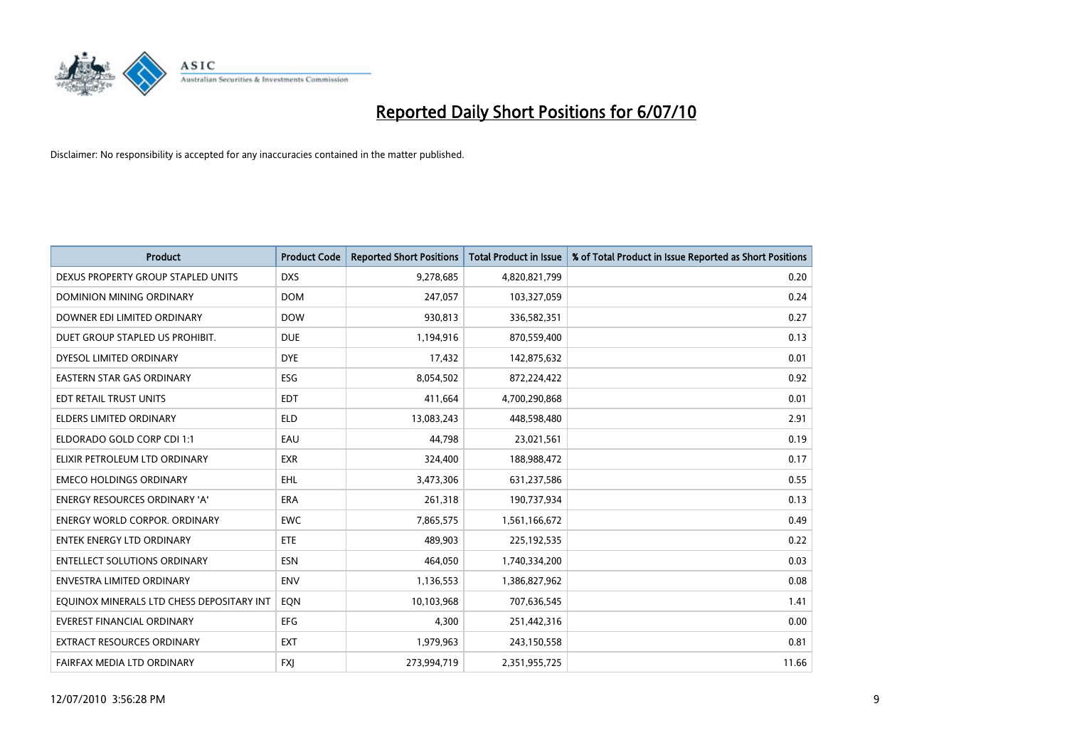

| <b>Product</b>                            | <b>Product Code</b> | <b>Reported Short Positions</b> | Total Product in Issue | % of Total Product in Issue Reported as Short Positions |
|-------------------------------------------|---------------------|---------------------------------|------------------------|---------------------------------------------------------|
| DEXUS PROPERTY GROUP STAPLED UNITS        | <b>DXS</b>          | 9,278,685                       | 4,820,821,799          | 0.20                                                    |
| DOMINION MINING ORDINARY                  | <b>DOM</b>          | 247,057                         | 103,327,059            | 0.24                                                    |
| DOWNER EDI LIMITED ORDINARY               | <b>DOW</b>          | 930,813                         | 336,582,351            | 0.27                                                    |
| DUET GROUP STAPLED US PROHIBIT.           | <b>DUE</b>          | 1,194,916                       | 870,559,400            | 0.13                                                    |
| DYESOL LIMITED ORDINARY                   | <b>DYE</b>          | 17,432                          | 142,875,632            | 0.01                                                    |
| EASTERN STAR GAS ORDINARY                 | ESG                 | 8,054,502                       | 872,224,422            | 0.92                                                    |
| EDT RETAIL TRUST UNITS                    | <b>EDT</b>          | 411,664                         | 4,700,290,868          | 0.01                                                    |
| <b>ELDERS LIMITED ORDINARY</b>            | <b>ELD</b>          | 13,083,243                      | 448,598,480            | 2.91                                                    |
| ELDORADO GOLD CORP CDI 1:1                | EAU                 | 44,798                          | 23,021,561             | 0.19                                                    |
| ELIXIR PETROLEUM LTD ORDINARY             | <b>EXR</b>          | 324,400                         | 188,988,472            | 0.17                                                    |
| <b>EMECO HOLDINGS ORDINARY</b>            | <b>EHL</b>          | 3,473,306                       | 631,237,586            | 0.55                                                    |
| <b>ENERGY RESOURCES ORDINARY 'A'</b>      | <b>ERA</b>          | 261,318                         | 190,737,934            | 0.13                                                    |
| <b>ENERGY WORLD CORPOR, ORDINARY</b>      | <b>EWC</b>          | 7,865,575                       | 1,561,166,672          | 0.49                                                    |
| <b>ENTEK ENERGY LTD ORDINARY</b>          | <b>ETE</b>          | 489,903                         | 225,192,535            | 0.22                                                    |
| <b>ENTELLECT SOLUTIONS ORDINARY</b>       | <b>ESN</b>          | 464,050                         | 1,740,334,200          | 0.03                                                    |
| ENVESTRA LIMITED ORDINARY                 | <b>ENV</b>          | 1,136,553                       | 1,386,827,962          | 0.08                                                    |
| EQUINOX MINERALS LTD CHESS DEPOSITARY INT | EON                 | 10,103,968                      | 707,636,545            | 1.41                                                    |
| <b>EVEREST FINANCIAL ORDINARY</b>         | <b>EFG</b>          | 4,300                           | 251,442,316            | 0.00                                                    |
| <b>EXTRACT RESOURCES ORDINARY</b>         | <b>EXT</b>          | 1,979,963                       | 243,150,558            | 0.81                                                    |
| FAIRFAX MEDIA LTD ORDINARY                | <b>FXI</b>          | 273.994.719                     | 2,351,955,725          | 11.66                                                   |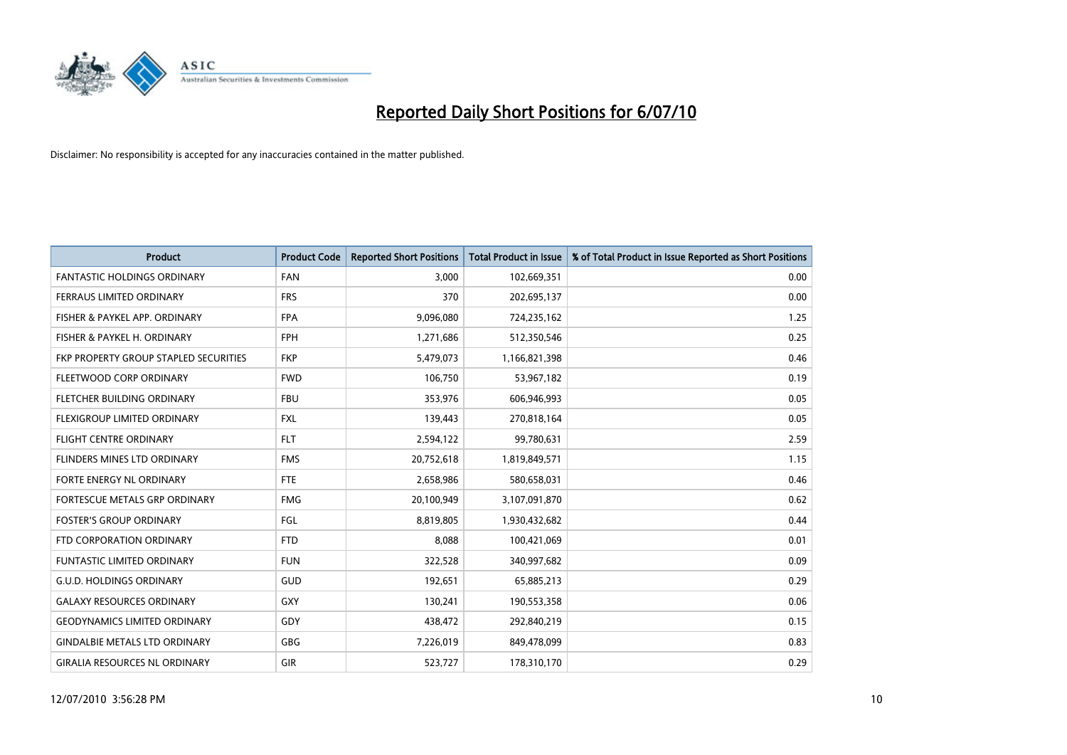

| <b>Product</b>                        | <b>Product Code</b> | <b>Reported Short Positions</b> | <b>Total Product in Issue</b> | % of Total Product in Issue Reported as Short Positions |
|---------------------------------------|---------------------|---------------------------------|-------------------------------|---------------------------------------------------------|
| <b>FANTASTIC HOLDINGS ORDINARY</b>    | <b>FAN</b>          | 3,000                           | 102,669,351                   | 0.00                                                    |
| FERRAUS LIMITED ORDINARY              | <b>FRS</b>          | 370                             | 202,695,137                   | 0.00                                                    |
| FISHER & PAYKEL APP. ORDINARY         | <b>FPA</b>          | 9,096,080                       | 724,235,162                   | 1.25                                                    |
| FISHER & PAYKEL H. ORDINARY           | <b>FPH</b>          | 1,271,686                       | 512,350,546                   | 0.25                                                    |
| FKP PROPERTY GROUP STAPLED SECURITIES | <b>FKP</b>          | 5,479,073                       | 1,166,821,398                 | 0.46                                                    |
| FLEETWOOD CORP ORDINARY               | <b>FWD</b>          | 106,750                         | 53,967,182                    | 0.19                                                    |
| <b>FLETCHER BUILDING ORDINARY</b>     | <b>FBU</b>          | 353,976                         | 606,946,993                   | 0.05                                                    |
| FLEXIGROUP LIMITED ORDINARY           | <b>FXL</b>          | 139,443                         | 270,818,164                   | 0.05                                                    |
| FLIGHT CENTRE ORDINARY                | <b>FLT</b>          | 2,594,122                       | 99,780,631                    | 2.59                                                    |
| FLINDERS MINES LTD ORDINARY           | <b>FMS</b>          | 20,752,618                      | 1,819,849,571                 | 1.15                                                    |
| <b>FORTE ENERGY NL ORDINARY</b>       | <b>FTE</b>          | 2,658,986                       | 580,658,031                   | 0.46                                                    |
| <b>FORTESCUE METALS GRP ORDINARY</b>  | <b>FMG</b>          | 20,100,949                      | 3,107,091,870                 | 0.62                                                    |
| <b>FOSTER'S GROUP ORDINARY</b>        | FGL                 | 8,819,805                       | 1,930,432,682                 | 0.44                                                    |
| FTD CORPORATION ORDINARY              | <b>FTD</b>          | 8,088                           | 100,421,069                   | 0.01                                                    |
| <b>FUNTASTIC LIMITED ORDINARY</b>     | <b>FUN</b>          | 322,528                         | 340,997,682                   | 0.09                                                    |
| <b>G.U.D. HOLDINGS ORDINARY</b>       | <b>GUD</b>          | 192,651                         | 65,885,213                    | 0.29                                                    |
| <b>GALAXY RESOURCES ORDINARY</b>      | <b>GXY</b>          | 130,241                         | 190,553,358                   | 0.06                                                    |
| <b>GEODYNAMICS LIMITED ORDINARY</b>   | <b>GDY</b>          | 438,472                         | 292,840,219                   | 0.15                                                    |
| <b>GINDALBIE METALS LTD ORDINARY</b>  | <b>GBG</b>          | 7,226,019                       | 849,478,099                   | 0.83                                                    |
| <b>GIRALIA RESOURCES NL ORDINARY</b>  | <b>GIR</b>          | 523,727                         | 178,310,170                   | 0.29                                                    |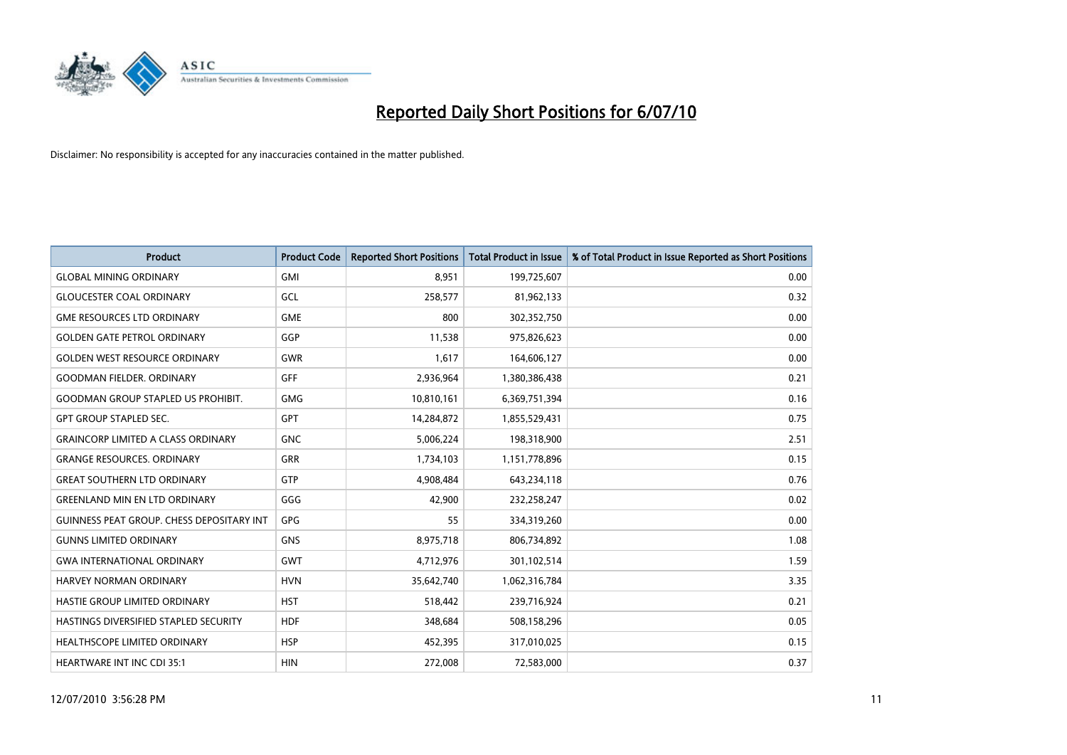

| <b>Product</b>                            | <b>Product Code</b> | <b>Reported Short Positions</b> | <b>Total Product in Issue</b> | % of Total Product in Issue Reported as Short Positions |
|-------------------------------------------|---------------------|---------------------------------|-------------------------------|---------------------------------------------------------|
| <b>GLOBAL MINING ORDINARY</b>             | <b>GMI</b>          | 8.951                           | 199,725,607                   | 0.00                                                    |
| <b>GLOUCESTER COAL ORDINARY</b>           | GCL                 | 258,577                         | 81,962,133                    | 0.32                                                    |
| <b>GME RESOURCES LTD ORDINARY</b>         | <b>GME</b>          | 800                             | 302,352,750                   | 0.00                                                    |
| <b>GOLDEN GATE PETROL ORDINARY</b>        | GGP                 | 11,538                          | 975,826,623                   | 0.00                                                    |
| <b>GOLDEN WEST RESOURCE ORDINARY</b>      | <b>GWR</b>          | 1,617                           | 164,606,127                   | 0.00                                                    |
| <b>GOODMAN FIELDER, ORDINARY</b>          | <b>GFF</b>          | 2,936,964                       | 1,380,386,438                 | 0.21                                                    |
| <b>GOODMAN GROUP STAPLED US PROHIBIT.</b> | <b>GMG</b>          | 10,810,161                      | 6,369,751,394                 | 0.16                                                    |
| <b>GPT GROUP STAPLED SEC.</b>             | <b>GPT</b>          | 14,284,872                      | 1,855,529,431                 | 0.75                                                    |
| <b>GRAINCORP LIMITED A CLASS ORDINARY</b> | <b>GNC</b>          | 5,006,224                       | 198,318,900                   | 2.51                                                    |
| <b>GRANGE RESOURCES, ORDINARY</b>         | GRR                 | 1,734,103                       | 1,151,778,896                 | 0.15                                                    |
| <b>GREAT SOUTHERN LTD ORDINARY</b>        | <b>GTP</b>          | 4,908,484                       | 643,234,118                   | 0.76                                                    |
| <b>GREENLAND MIN EN LTD ORDINARY</b>      | GGG                 | 42,900                          | 232,258,247                   | 0.02                                                    |
| GUINNESS PEAT GROUP. CHESS DEPOSITARY INT | GPG                 | 55                              | 334,319,260                   | 0.00                                                    |
| <b>GUNNS LIMITED ORDINARY</b>             | <b>GNS</b>          | 8,975,718                       | 806,734,892                   | 1.08                                                    |
| <b>GWA INTERNATIONAL ORDINARY</b>         | <b>GWT</b>          | 4,712,976                       | 301,102,514                   | 1.59                                                    |
| <b>HARVEY NORMAN ORDINARY</b>             | <b>HVN</b>          | 35,642,740                      | 1,062,316,784                 | 3.35                                                    |
| HASTIE GROUP LIMITED ORDINARY             | <b>HST</b>          | 518,442                         | 239,716,924                   | 0.21                                                    |
| HASTINGS DIVERSIFIED STAPLED SECURITY     | <b>HDF</b>          | 348,684                         | 508,158,296                   | 0.05                                                    |
| HEALTHSCOPE LIMITED ORDINARY              | <b>HSP</b>          | 452,395                         | 317,010,025                   | 0.15                                                    |
| <b>HEARTWARE INT INC CDI 35:1</b>         | <b>HIN</b>          | 272,008                         | 72,583,000                    | 0.37                                                    |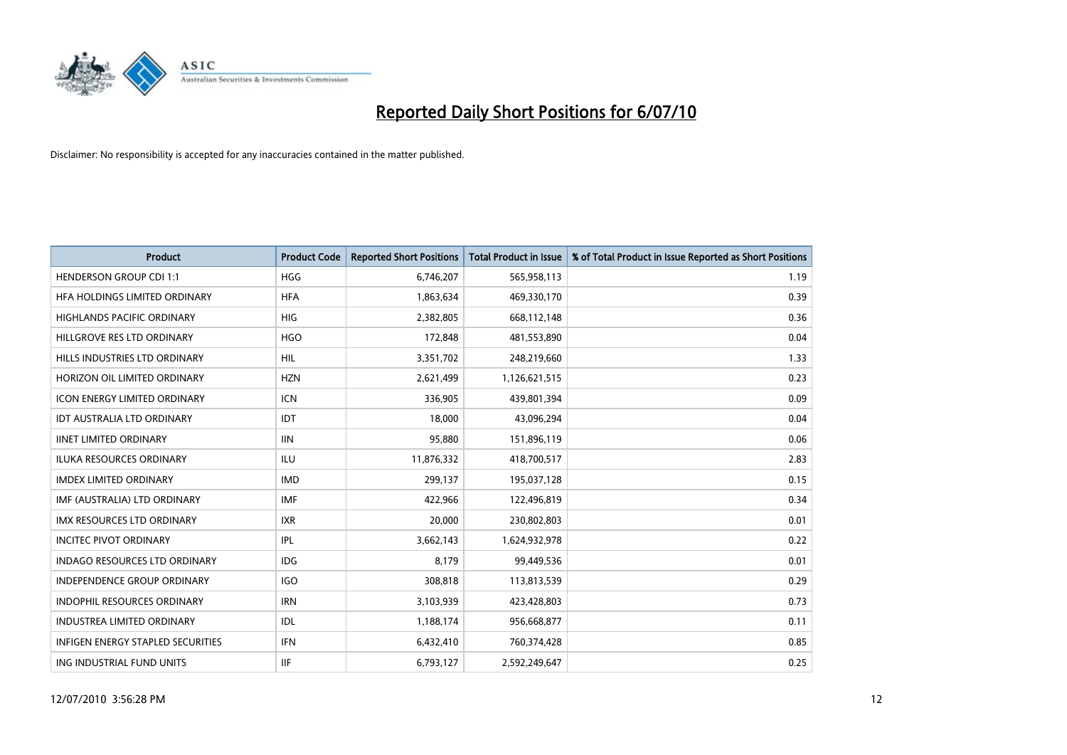

| <b>Product</b>                           | <b>Product Code</b> | <b>Reported Short Positions</b> | <b>Total Product in Issue</b> | % of Total Product in Issue Reported as Short Positions |
|------------------------------------------|---------------------|---------------------------------|-------------------------------|---------------------------------------------------------|
| <b>HENDERSON GROUP CDI 1:1</b>           | <b>HGG</b>          | 6,746,207                       | 565,958,113                   | 1.19                                                    |
| HFA HOLDINGS LIMITED ORDINARY            | <b>HFA</b>          | 1,863,634                       | 469,330,170                   | 0.39                                                    |
| <b>HIGHLANDS PACIFIC ORDINARY</b>        | <b>HIG</b>          | 2,382,805                       | 668,112,148                   | 0.36                                                    |
| HILLGROVE RES LTD ORDINARY               | <b>HGO</b>          | 172,848                         | 481,553,890                   | 0.04                                                    |
| HILLS INDUSTRIES LTD ORDINARY            | <b>HIL</b>          | 3,351,702                       | 248,219,660                   | 1.33                                                    |
| HORIZON OIL LIMITED ORDINARY             | <b>HZN</b>          | 2,621,499                       | 1,126,621,515                 | 0.23                                                    |
| <b>ICON ENERGY LIMITED ORDINARY</b>      | <b>ICN</b>          | 336,905                         | 439,801,394                   | 0.09                                                    |
| <b>IDT AUSTRALIA LTD ORDINARY</b>        | IDT                 | 18,000                          | 43,096,294                    | 0.04                                                    |
| <b>IINET LIMITED ORDINARY</b>            | <b>IIN</b>          | 95,880                          | 151,896,119                   | 0.06                                                    |
| <b>ILUKA RESOURCES ORDINARY</b>          | <b>ILU</b>          | 11,876,332                      | 418,700,517                   | 2.83                                                    |
| <b>IMDEX LIMITED ORDINARY</b>            | <b>IMD</b>          | 299,137                         | 195,037,128                   | 0.15                                                    |
| IMF (AUSTRALIA) LTD ORDINARY             | <b>IMF</b>          | 422,966                         | 122,496,819                   | 0.34                                                    |
| <b>IMX RESOURCES LTD ORDINARY</b>        | <b>IXR</b>          | 20,000                          | 230,802,803                   | 0.01                                                    |
| <b>INCITEC PIVOT ORDINARY</b>            | <b>IPL</b>          | 3,662,143                       | 1,624,932,978                 | 0.22                                                    |
| <b>INDAGO RESOURCES LTD ORDINARY</b>     | <b>IDG</b>          | 8,179                           | 99,449,536                    | 0.01                                                    |
| <b>INDEPENDENCE GROUP ORDINARY</b>       | <b>IGO</b>          | 308,818                         | 113,813,539                   | 0.29                                                    |
| <b>INDOPHIL RESOURCES ORDINARY</b>       | <b>IRN</b>          | 3,103,939                       | 423,428,803                   | 0.73                                                    |
| <b>INDUSTREA LIMITED ORDINARY</b>        | IDL                 | 1,188,174                       | 956,668,877                   | 0.11                                                    |
| <b>INFIGEN ENERGY STAPLED SECURITIES</b> | <b>IFN</b>          | 6,432,410                       | 760,374,428                   | 0.85                                                    |
| ING INDUSTRIAL FUND UNITS                | <b>IIF</b>          | 6,793,127                       | 2,592,249,647                 | 0.25                                                    |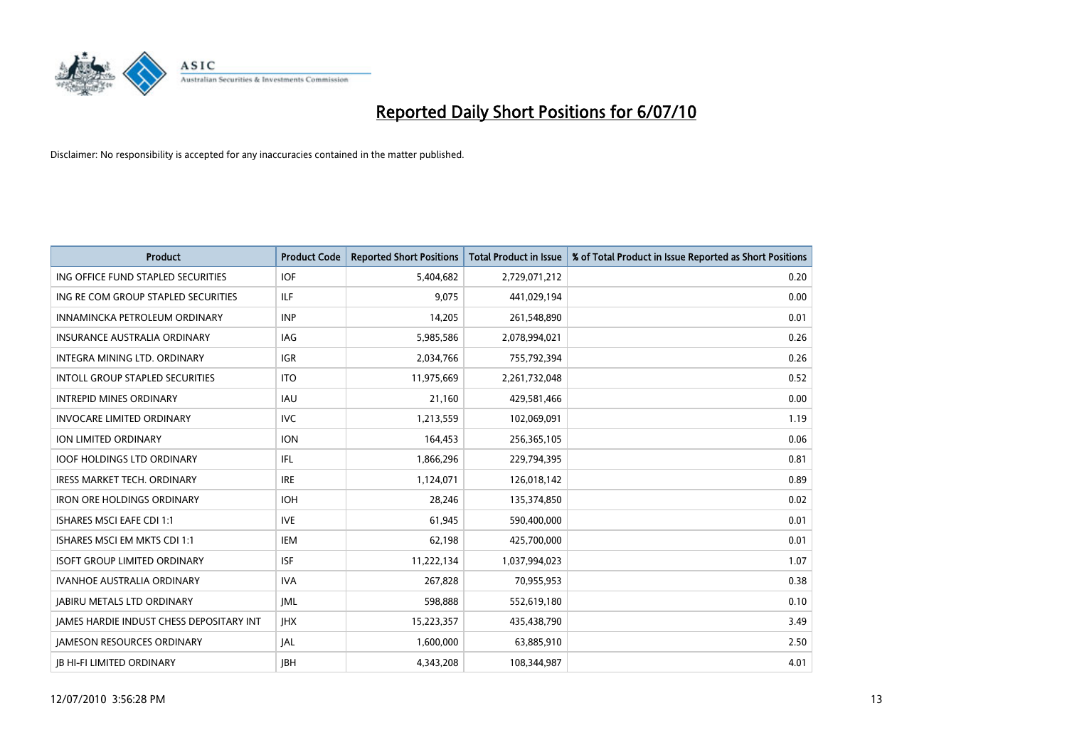

| <b>Product</b>                           | <b>Product Code</b> | <b>Reported Short Positions</b> | <b>Total Product in Issue</b> | % of Total Product in Issue Reported as Short Positions |
|------------------------------------------|---------------------|---------------------------------|-------------------------------|---------------------------------------------------------|
| ING OFFICE FUND STAPLED SECURITIES       | <b>IOF</b>          | 5,404,682                       | 2,729,071,212                 | 0.20                                                    |
| ING RE COM GROUP STAPLED SECURITIES      | <b>ILF</b>          | 9.075                           | 441,029,194                   | 0.00                                                    |
| INNAMINCKA PETROLEUM ORDINARY            | <b>INP</b>          | 14,205                          | 261,548,890                   | 0.01                                                    |
| INSURANCE AUSTRALIA ORDINARY             | IAG                 | 5,985,586                       | 2,078,994,021                 | 0.26                                                    |
| <b>INTEGRA MINING LTD, ORDINARY</b>      | <b>IGR</b>          | 2,034,766                       | 755,792,394                   | 0.26                                                    |
| <b>INTOLL GROUP STAPLED SECURITIES</b>   | <b>ITO</b>          | 11,975,669                      | 2,261,732,048                 | 0.52                                                    |
| <b>INTREPID MINES ORDINARY</b>           | <b>IAU</b>          | 21,160                          | 429,581,466                   | 0.00                                                    |
| <b>INVOCARE LIMITED ORDINARY</b>         | <b>IVC</b>          | 1,213,559                       | 102,069,091                   | 1.19                                                    |
| ION LIMITED ORDINARY                     | <b>ION</b>          | 164,453                         | 256,365,105                   | 0.06                                                    |
| <b>IOOF HOLDINGS LTD ORDINARY</b>        | <b>IFL</b>          | 1,866,296                       | 229,794,395                   | 0.81                                                    |
| <b>IRESS MARKET TECH. ORDINARY</b>       | <b>IRE</b>          | 1,124,071                       | 126,018,142                   | 0.89                                                    |
| <b>IRON ORE HOLDINGS ORDINARY</b>        | <b>IOH</b>          | 28,246                          | 135,374,850                   | 0.02                                                    |
| <b>ISHARES MSCI EAFE CDI 1:1</b>         | <b>IVE</b>          | 61.945                          | 590,400,000                   | 0.01                                                    |
| ISHARES MSCI EM MKTS CDI 1:1             | <b>IEM</b>          | 62,198                          | 425,700,000                   | 0.01                                                    |
| <b>ISOFT GROUP LIMITED ORDINARY</b>      | <b>ISF</b>          | 11,222,134                      | 1,037,994,023                 | 1.07                                                    |
| <b>IVANHOE AUSTRALIA ORDINARY</b>        | <b>IVA</b>          | 267,828                         | 70,955,953                    | 0.38                                                    |
| <b>JABIRU METALS LTD ORDINARY</b>        | <b>JML</b>          | 598,888                         | 552,619,180                   | 0.10                                                    |
| JAMES HARDIE INDUST CHESS DEPOSITARY INT | <b>IHX</b>          | 15,223,357                      | 435,438,790                   | 3.49                                                    |
| <b>IAMESON RESOURCES ORDINARY</b>        | <b>JAL</b>          | 1,600,000                       | 63,885,910                    | 2.50                                                    |
| <b>IB HI-FI LIMITED ORDINARY</b>         | <b>IBH</b>          | 4,343,208                       | 108,344,987                   | 4.01                                                    |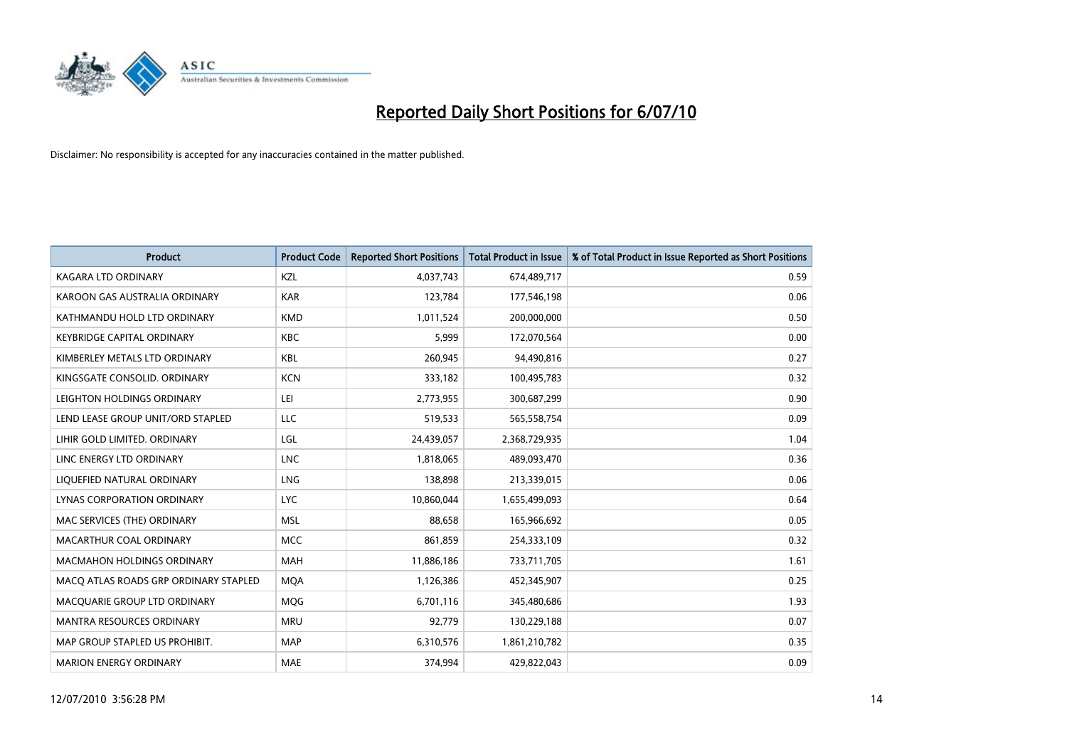

| <b>Product</b>                        | <b>Product Code</b> | <b>Reported Short Positions</b> | Total Product in Issue | % of Total Product in Issue Reported as Short Positions |
|---------------------------------------|---------------------|---------------------------------|------------------------|---------------------------------------------------------|
| <b>KAGARA LTD ORDINARY</b>            | KZL                 | 4,037,743                       | 674,489,717            | 0.59                                                    |
| KAROON GAS AUSTRALIA ORDINARY         | <b>KAR</b>          | 123,784                         | 177,546,198            | 0.06                                                    |
| KATHMANDU HOLD LTD ORDINARY           | <b>KMD</b>          | 1,011,524                       | 200,000,000            | 0.50                                                    |
| <b>KEYBRIDGE CAPITAL ORDINARY</b>     | <b>KBC</b>          | 5,999                           | 172,070,564            | 0.00                                                    |
| KIMBERLEY METALS LTD ORDINARY         | <b>KBL</b>          | 260,945                         | 94,490,816             | 0.27                                                    |
| KINGSGATE CONSOLID, ORDINARY          | <b>KCN</b>          | 333,182                         | 100,495,783            | 0.32                                                    |
| LEIGHTON HOLDINGS ORDINARY            | LEI                 | 2,773,955                       | 300,687,299            | 0.90                                                    |
| LEND LEASE GROUP UNIT/ORD STAPLED     | LLC                 | 519,533                         | 565,558,754            | 0.09                                                    |
| LIHIR GOLD LIMITED. ORDINARY          | LGL                 | 24,439,057                      | 2,368,729,935          | 1.04                                                    |
| LINC ENERGY LTD ORDINARY              | <b>LNC</b>          | 1,818,065                       | 489,093,470            | 0.36                                                    |
| LIQUEFIED NATURAL ORDINARY            | <b>LNG</b>          | 138,898                         | 213,339,015            | 0.06                                                    |
| LYNAS CORPORATION ORDINARY            | <b>LYC</b>          | 10,860,044                      | 1,655,499,093          | 0.64                                                    |
| MAC SERVICES (THE) ORDINARY           | <b>MSL</b>          | 88.658                          | 165,966,692            | 0.05                                                    |
| MACARTHUR COAL ORDINARY               | <b>MCC</b>          | 861,859                         | 254,333,109            | 0.32                                                    |
| <b>MACMAHON HOLDINGS ORDINARY</b>     | <b>MAH</b>          | 11,886,186                      | 733,711,705            | 1.61                                                    |
| MACO ATLAS ROADS GRP ORDINARY STAPLED | <b>MOA</b>          | 1,126,386                       | 452,345,907            | 0.25                                                    |
| MACQUARIE GROUP LTD ORDINARY          | MQG                 | 6,701,116                       | 345,480,686            | 1.93                                                    |
| <b>MANTRA RESOURCES ORDINARY</b>      | <b>MRU</b>          | 92,779                          | 130,229,188            | 0.07                                                    |
| MAP GROUP STAPLED US PROHIBIT.        | <b>MAP</b>          | 6,310,576                       | 1,861,210,782          | 0.35                                                    |
| <b>MARION ENERGY ORDINARY</b>         | <b>MAE</b>          | 374,994                         | 429,822,043            | 0.09                                                    |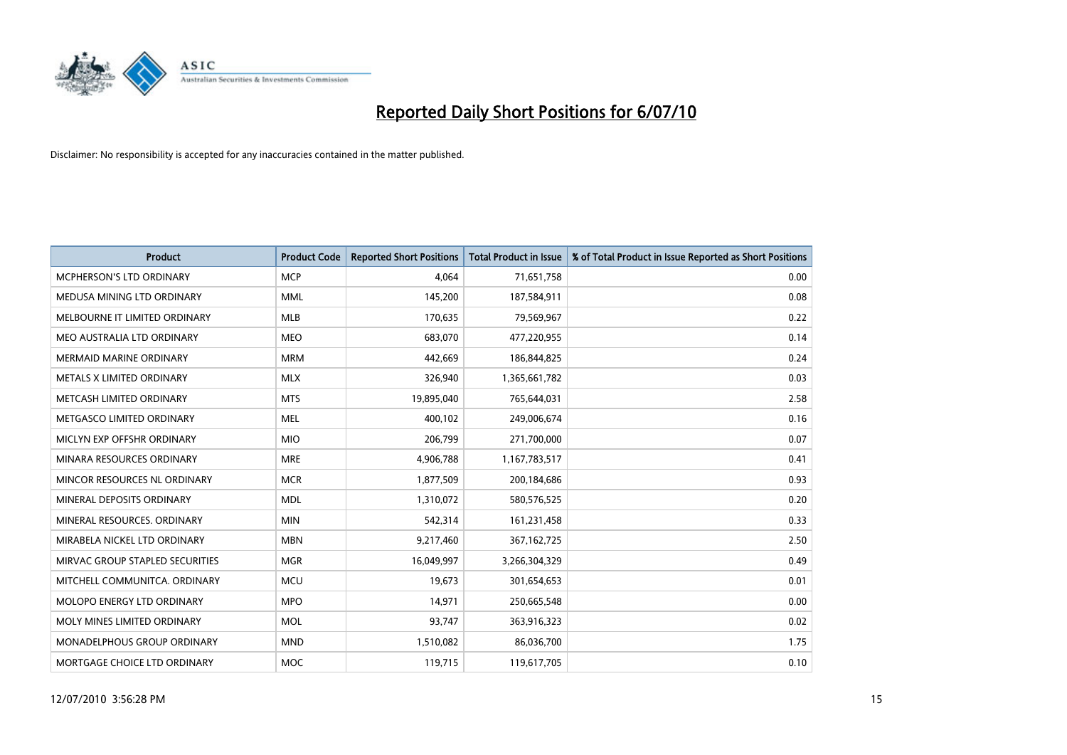

| <b>Product</b>                  | <b>Product Code</b> | <b>Reported Short Positions</b> | <b>Total Product in Issue</b> | % of Total Product in Issue Reported as Short Positions |
|---------------------------------|---------------------|---------------------------------|-------------------------------|---------------------------------------------------------|
| <b>MCPHERSON'S LTD ORDINARY</b> | <b>MCP</b>          | 4,064                           | 71,651,758                    | 0.00                                                    |
| MEDUSA MINING LTD ORDINARY      | <b>MML</b>          | 145,200                         | 187,584,911                   | 0.08                                                    |
| MELBOURNE IT LIMITED ORDINARY   | <b>MLB</b>          | 170,635                         | 79,569,967                    | 0.22                                                    |
| MEO AUSTRALIA LTD ORDINARY      | <b>MEO</b>          | 683,070                         | 477,220,955                   | 0.14                                                    |
| <b>MERMAID MARINE ORDINARY</b>  | <b>MRM</b>          | 442,669                         | 186,844,825                   | 0.24                                                    |
| METALS X LIMITED ORDINARY       | <b>MLX</b>          | 326,940                         | 1,365,661,782                 | 0.03                                                    |
| METCASH LIMITED ORDINARY        | <b>MTS</b>          | 19,895,040                      | 765,644,031                   | 2.58                                                    |
| METGASCO LIMITED ORDINARY       | <b>MEL</b>          | 400,102                         | 249,006,674                   | 0.16                                                    |
| MICLYN EXP OFFSHR ORDINARY      | <b>MIO</b>          | 206,799                         | 271,700,000                   | 0.07                                                    |
| MINARA RESOURCES ORDINARY       | <b>MRE</b>          | 4,906,788                       | 1,167,783,517                 | 0.41                                                    |
| MINCOR RESOURCES NL ORDINARY    | <b>MCR</b>          | 1,877,509                       | 200,184,686                   | 0.93                                                    |
| MINERAL DEPOSITS ORDINARY       | <b>MDL</b>          | 1,310,072                       | 580,576,525                   | 0.20                                                    |
| MINERAL RESOURCES, ORDINARY     | <b>MIN</b>          | 542,314                         | 161,231,458                   | 0.33                                                    |
| MIRABELA NICKEL LTD ORDINARY    | <b>MBN</b>          | 9,217,460                       | 367, 162, 725                 | 2.50                                                    |
| MIRVAC GROUP STAPLED SECURITIES | <b>MGR</b>          | 16,049,997                      | 3,266,304,329                 | 0.49                                                    |
| MITCHELL COMMUNITCA. ORDINARY   | <b>MCU</b>          | 19,673                          | 301,654,653                   | 0.01                                                    |
| MOLOPO ENERGY LTD ORDINARY      | <b>MPO</b>          | 14,971                          | 250,665,548                   | 0.00                                                    |
| MOLY MINES LIMITED ORDINARY     | <b>MOL</b>          | 93,747                          | 363,916,323                   | 0.02                                                    |
| MONADELPHOUS GROUP ORDINARY     | <b>MND</b>          | 1,510,082                       | 86,036,700                    | 1.75                                                    |
| MORTGAGE CHOICE LTD ORDINARY    | <b>MOC</b>          | 119,715                         | 119,617,705                   | 0.10                                                    |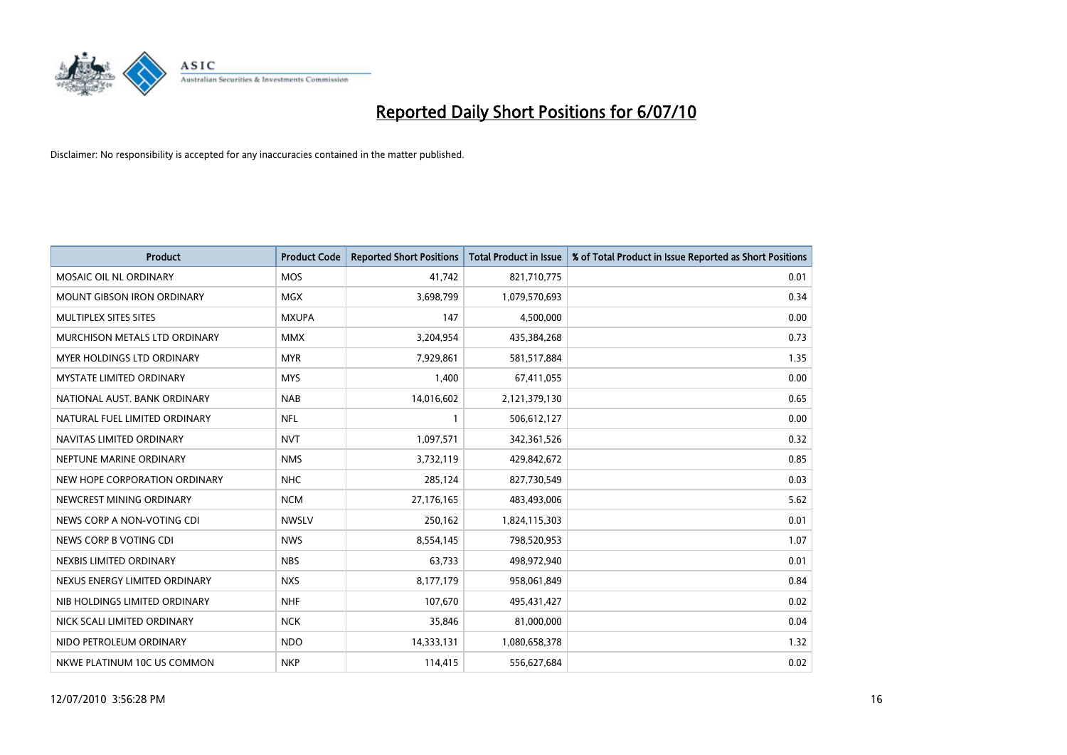

| <b>Product</b>                    | <b>Product Code</b> | <b>Reported Short Positions</b> | <b>Total Product in Issue</b> | % of Total Product in Issue Reported as Short Positions |
|-----------------------------------|---------------------|---------------------------------|-------------------------------|---------------------------------------------------------|
| MOSAIC OIL NL ORDINARY            | <b>MOS</b>          | 41,742                          | 821,710,775                   | 0.01                                                    |
| <b>MOUNT GIBSON IRON ORDINARY</b> | <b>MGX</b>          | 3,698,799                       | 1,079,570,693                 | 0.34                                                    |
| MULTIPLEX SITES SITES             | <b>MXUPA</b>        | 147                             | 4,500,000                     | 0.00                                                    |
| MURCHISON METALS LTD ORDINARY     | <b>MMX</b>          | 3,204,954                       | 435,384,268                   | 0.73                                                    |
| <b>MYER HOLDINGS LTD ORDINARY</b> | <b>MYR</b>          | 7,929,861                       | 581,517,884                   | 1.35                                                    |
| <b>MYSTATE LIMITED ORDINARY</b>   | <b>MYS</b>          | 1,400                           | 67,411,055                    | 0.00                                                    |
| NATIONAL AUST. BANK ORDINARY      | <b>NAB</b>          | 14,016,602                      | 2,121,379,130                 | 0.65                                                    |
| NATURAL FUEL LIMITED ORDINARY     | <b>NFL</b>          |                                 | 506,612,127                   | 0.00                                                    |
| NAVITAS LIMITED ORDINARY          | <b>NVT</b>          | 1,097,571                       | 342,361,526                   | 0.32                                                    |
| NEPTUNE MARINE ORDINARY           | <b>NMS</b>          | 3,732,119                       | 429,842,672                   | 0.85                                                    |
| NEW HOPE CORPORATION ORDINARY     | <b>NHC</b>          | 285,124                         | 827,730,549                   | 0.03                                                    |
| NEWCREST MINING ORDINARY          | <b>NCM</b>          | 27,176,165                      | 483,493,006                   | 5.62                                                    |
| NEWS CORP A NON-VOTING CDI        | <b>NWSLV</b>        | 250,162                         | 1,824,115,303                 | 0.01                                                    |
| NEWS CORP B VOTING CDI            | <b>NWS</b>          | 8,554,145                       | 798,520,953                   | 1.07                                                    |
| NEXBIS LIMITED ORDINARY           | <b>NBS</b>          | 63,733                          | 498,972,940                   | 0.01                                                    |
| NEXUS ENERGY LIMITED ORDINARY     | <b>NXS</b>          | 8,177,179                       | 958,061,849                   | 0.84                                                    |
| NIB HOLDINGS LIMITED ORDINARY     | <b>NHF</b>          | 107,670                         | 495,431,427                   | 0.02                                                    |
| NICK SCALI LIMITED ORDINARY       | <b>NCK</b>          | 35,846                          | 81,000,000                    | 0.04                                                    |
| NIDO PETROLEUM ORDINARY           | <b>NDO</b>          | 14,333,131                      | 1,080,658,378                 | 1.32                                                    |
| NKWE PLATINUM 10C US COMMON       | <b>NKP</b>          | 114,415                         | 556,627,684                   | 0.02                                                    |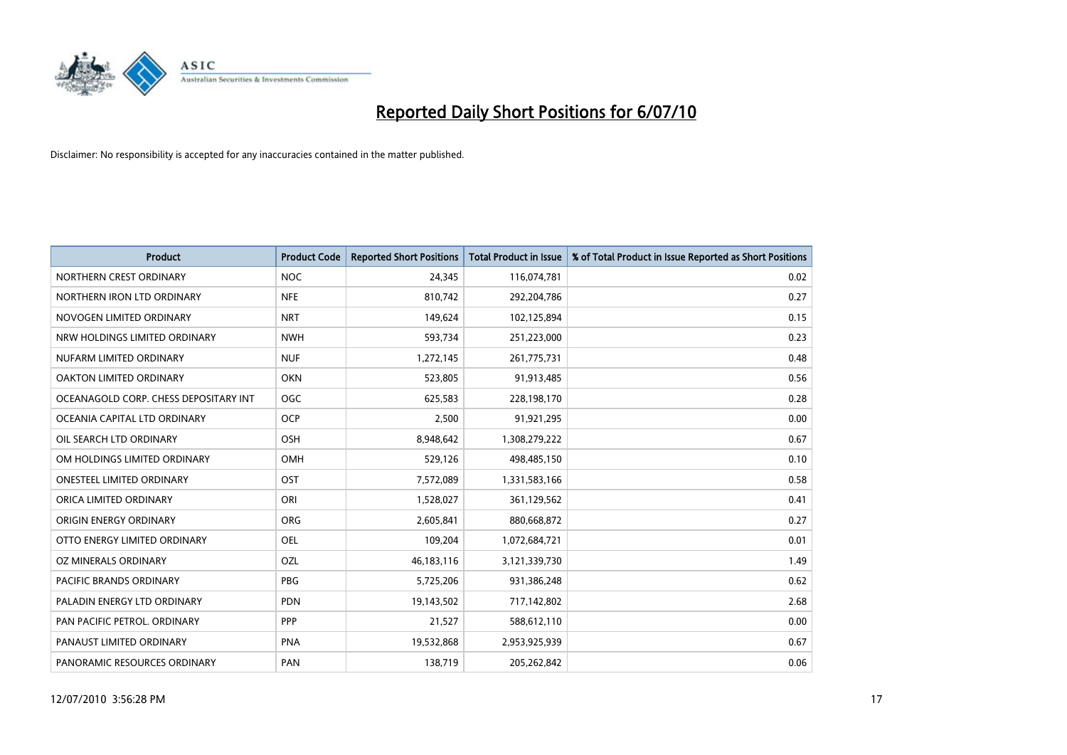

| <b>Product</b>                        | <b>Product Code</b> | <b>Reported Short Positions</b> | Total Product in Issue | % of Total Product in Issue Reported as Short Positions |
|---------------------------------------|---------------------|---------------------------------|------------------------|---------------------------------------------------------|
| NORTHERN CREST ORDINARY               | <b>NOC</b>          | 24,345                          | 116,074,781            | 0.02                                                    |
| NORTHERN IRON LTD ORDINARY            | <b>NFE</b>          | 810,742                         | 292,204,786            | 0.27                                                    |
| NOVOGEN LIMITED ORDINARY              | <b>NRT</b>          | 149,624                         | 102,125,894            | 0.15                                                    |
| NRW HOLDINGS LIMITED ORDINARY         | <b>NWH</b>          | 593,734                         | 251,223,000            | 0.23                                                    |
| NUFARM LIMITED ORDINARY               | <b>NUF</b>          | 1,272,145                       | 261,775,731            | 0.48                                                    |
| <b>OAKTON LIMITED ORDINARY</b>        | <b>OKN</b>          | 523,805                         | 91,913,485             | 0.56                                                    |
| OCEANAGOLD CORP. CHESS DEPOSITARY INT | <b>OGC</b>          | 625,583                         | 228,198,170            | 0.28                                                    |
| OCEANIA CAPITAL LTD ORDINARY          | <b>OCP</b>          | 2,500                           | 91,921,295             | 0.00                                                    |
| OIL SEARCH LTD ORDINARY               | OSH                 | 8,948,642                       | 1,308,279,222          | 0.67                                                    |
| OM HOLDINGS LIMITED ORDINARY          | <b>OMH</b>          | 529,126                         | 498,485,150            | 0.10                                                    |
| <b>ONESTEEL LIMITED ORDINARY</b>      | OST                 | 7,572,089                       | 1,331,583,166          | 0.58                                                    |
| ORICA LIMITED ORDINARY                | ORI                 | 1,528,027                       | 361,129,562            | 0.41                                                    |
| ORIGIN ENERGY ORDINARY                | <b>ORG</b>          | 2,605,841                       | 880,668,872            | 0.27                                                    |
| OTTO ENERGY LIMITED ORDINARY          | OEL                 | 109,204                         | 1,072,684,721          | 0.01                                                    |
| OZ MINERALS ORDINARY                  | OZL                 | 46, 183, 116                    | 3,121,339,730          | 1.49                                                    |
| PACIFIC BRANDS ORDINARY               | <b>PBG</b>          | 5,725,206                       | 931,386,248            | 0.62                                                    |
| PALADIN ENERGY LTD ORDINARY           | <b>PDN</b>          | 19,143,502                      | 717,142,802            | 2.68                                                    |
| PAN PACIFIC PETROL. ORDINARY          | PPP                 | 21,527                          | 588,612,110            | 0.00                                                    |
| PANAUST LIMITED ORDINARY              | <b>PNA</b>          | 19,532,868                      | 2,953,925,939          | 0.67                                                    |
| PANORAMIC RESOURCES ORDINARY          | PAN                 | 138,719                         | 205,262,842            | 0.06                                                    |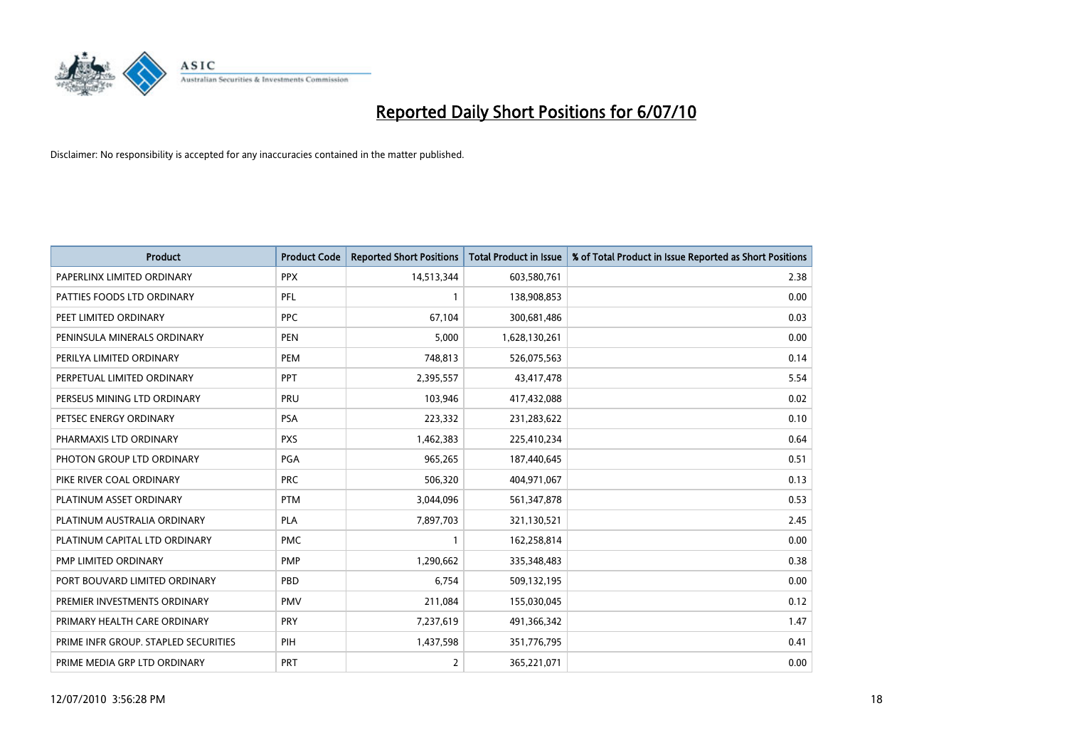

| <b>Product</b>                       | <b>Product Code</b> | <b>Reported Short Positions</b> | <b>Total Product in Issue</b> | % of Total Product in Issue Reported as Short Positions |
|--------------------------------------|---------------------|---------------------------------|-------------------------------|---------------------------------------------------------|
| PAPERLINX LIMITED ORDINARY           | <b>PPX</b>          | 14,513,344                      | 603,580,761                   | 2.38                                                    |
| PATTIES FOODS LTD ORDINARY           | PFL                 |                                 | 138,908,853                   | 0.00                                                    |
| PEET LIMITED ORDINARY                | <b>PPC</b>          | 67,104                          | 300,681,486                   | 0.03                                                    |
| PENINSULA MINERALS ORDINARY          | <b>PEN</b>          | 5,000                           | 1,628,130,261                 | 0.00                                                    |
| PERILYA LIMITED ORDINARY             | PEM                 | 748,813                         | 526,075,563                   | 0.14                                                    |
| PERPETUAL LIMITED ORDINARY           | PPT                 | 2,395,557                       | 43,417,478                    | 5.54                                                    |
| PERSEUS MINING LTD ORDINARY          | PRU                 | 103,946                         | 417,432,088                   | 0.02                                                    |
| PETSEC ENERGY ORDINARY               | <b>PSA</b>          | 223,332                         | 231,283,622                   | 0.10                                                    |
| PHARMAXIS LTD ORDINARY               | <b>PXS</b>          | 1,462,383                       | 225,410,234                   | 0.64                                                    |
| PHOTON GROUP LTD ORDINARY            | <b>PGA</b>          | 965,265                         | 187,440,645                   | 0.51                                                    |
| PIKE RIVER COAL ORDINARY             | <b>PRC</b>          | 506,320                         | 404,971,067                   | 0.13                                                    |
| PLATINUM ASSET ORDINARY              | <b>PTM</b>          | 3,044,096                       | 561,347,878                   | 0.53                                                    |
| PLATINUM AUSTRALIA ORDINARY          | <b>PLA</b>          | 7,897,703                       | 321,130,521                   | 2.45                                                    |
| PLATINUM CAPITAL LTD ORDINARY        | <b>PMC</b>          |                                 | 162,258,814                   | 0.00                                                    |
| PMP LIMITED ORDINARY                 | <b>PMP</b>          | 1,290,662                       | 335,348,483                   | 0.38                                                    |
| PORT BOUVARD LIMITED ORDINARY        | PBD                 | 6,754                           | 509,132,195                   | 0.00                                                    |
| PREMIER INVESTMENTS ORDINARY         | PMV                 | 211,084                         | 155,030,045                   | 0.12                                                    |
| PRIMARY HEALTH CARE ORDINARY         | PRY                 | 7,237,619                       | 491,366,342                   | 1.47                                                    |
| PRIME INFR GROUP. STAPLED SECURITIES | PIH                 | 1,437,598                       | 351,776,795                   | 0.41                                                    |
| PRIME MEDIA GRP LTD ORDINARY         | <b>PRT</b>          | 2                               | 365,221,071                   | 0.00                                                    |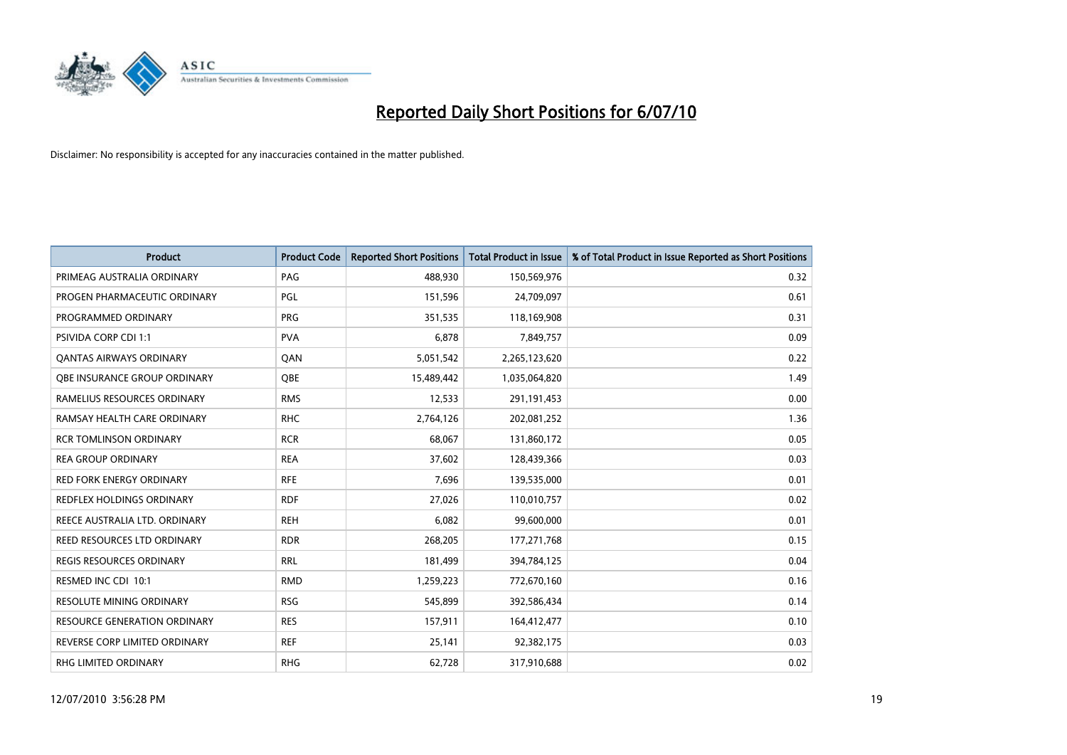

| <b>Product</b>                      | <b>Product Code</b> | <b>Reported Short Positions</b> | <b>Total Product in Issue</b> | % of Total Product in Issue Reported as Short Positions |
|-------------------------------------|---------------------|---------------------------------|-------------------------------|---------------------------------------------------------|
| PRIMEAG AUSTRALIA ORDINARY          | PAG                 | 488,930                         | 150,569,976                   | 0.32                                                    |
| PROGEN PHARMACEUTIC ORDINARY        | <b>PGL</b>          | 151,596                         | 24,709,097                    | 0.61                                                    |
| PROGRAMMED ORDINARY                 | <b>PRG</b>          | 351,535                         | 118,169,908                   | 0.31                                                    |
| PSIVIDA CORP CDI 1:1                | <b>PVA</b>          | 6,878                           | 7,849,757                     | 0.09                                                    |
| OANTAS AIRWAYS ORDINARY             | QAN                 | 5,051,542                       | 2,265,123,620                 | 0.22                                                    |
| OBE INSURANCE GROUP ORDINARY        | <b>OBE</b>          | 15,489,442                      | 1,035,064,820                 | 1.49                                                    |
| RAMELIUS RESOURCES ORDINARY         | <b>RMS</b>          | 12,533                          | 291,191,453                   | 0.00                                                    |
| RAMSAY HEALTH CARE ORDINARY         | <b>RHC</b>          | 2,764,126                       | 202,081,252                   | 1.36                                                    |
| <b>RCR TOMLINSON ORDINARY</b>       | <b>RCR</b>          | 68,067                          | 131,860,172                   | 0.05                                                    |
| <b>REA GROUP ORDINARY</b>           | <b>REA</b>          | 37,602                          | 128,439,366                   | 0.03                                                    |
| <b>RED FORK ENERGY ORDINARY</b>     | <b>RFE</b>          | 7,696                           | 139,535,000                   | 0.01                                                    |
| REDFLEX HOLDINGS ORDINARY           | <b>RDF</b>          | 27,026                          | 110,010,757                   | 0.02                                                    |
| REECE AUSTRALIA LTD. ORDINARY       | <b>REH</b>          | 6,082                           | 99,600,000                    | 0.01                                                    |
| <b>REED RESOURCES LTD ORDINARY</b>  | <b>RDR</b>          | 268,205                         | 177, 271, 768                 | 0.15                                                    |
| <b>REGIS RESOURCES ORDINARY</b>     | <b>RRL</b>          | 181,499                         | 394,784,125                   | 0.04                                                    |
| RESMED INC CDI 10:1                 | <b>RMD</b>          | 1,259,223                       | 772,670,160                   | 0.16                                                    |
| <b>RESOLUTE MINING ORDINARY</b>     | <b>RSG</b>          | 545,899                         | 392,586,434                   | 0.14                                                    |
| <b>RESOURCE GENERATION ORDINARY</b> | <b>RES</b>          | 157,911                         | 164,412,477                   | 0.10                                                    |
| REVERSE CORP LIMITED ORDINARY       | <b>REF</b>          | 25,141                          | 92,382,175                    | 0.03                                                    |
| <b>RHG LIMITED ORDINARY</b>         | <b>RHG</b>          | 62.728                          | 317,910,688                   | 0.02                                                    |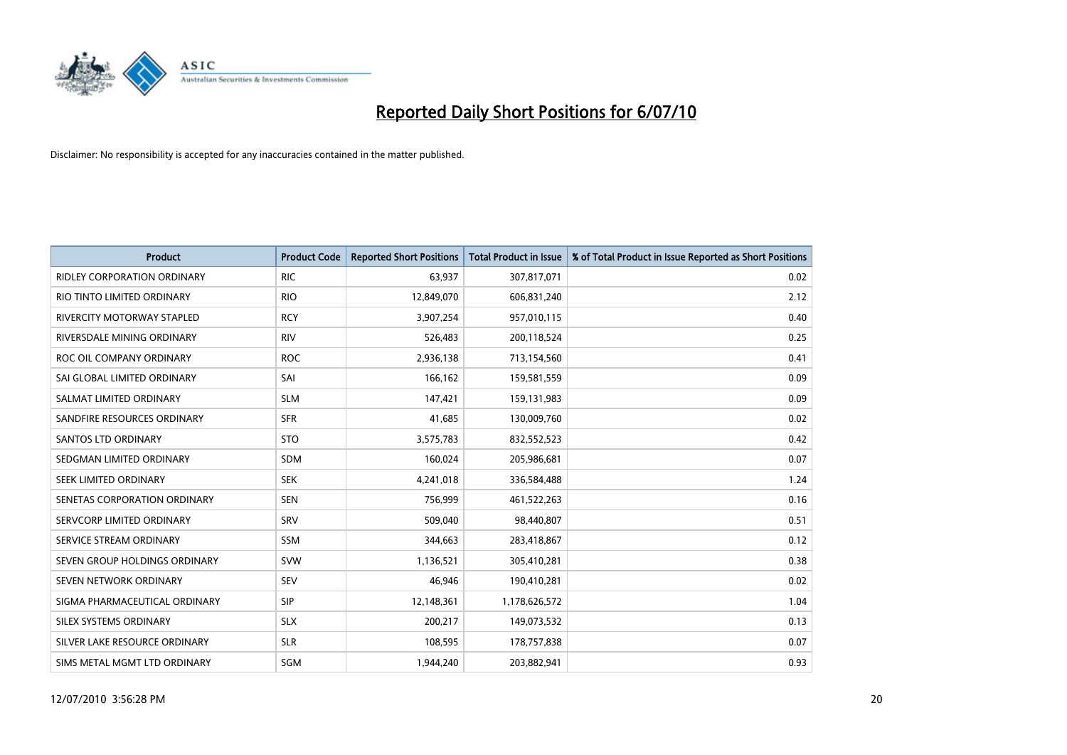

| <b>Product</b>                     | <b>Product Code</b> | <b>Reported Short Positions</b> | <b>Total Product in Issue</b> | % of Total Product in Issue Reported as Short Positions |
|------------------------------------|---------------------|---------------------------------|-------------------------------|---------------------------------------------------------|
| <b>RIDLEY CORPORATION ORDINARY</b> | <b>RIC</b>          | 63,937                          | 307,817,071                   | 0.02                                                    |
| RIO TINTO LIMITED ORDINARY         | <b>RIO</b>          | 12,849,070                      | 606,831,240                   | 2.12                                                    |
| RIVERCITY MOTORWAY STAPLED         | <b>RCY</b>          | 3,907,254                       | 957,010,115                   | 0.40                                                    |
| RIVERSDALE MINING ORDINARY         | <b>RIV</b>          | 526,483                         | 200,118,524                   | 0.25                                                    |
| ROC OIL COMPANY ORDINARY           | <b>ROC</b>          | 2,936,138                       | 713,154,560                   | 0.41                                                    |
| SAI GLOBAL LIMITED ORDINARY        | SAI                 | 166,162                         | 159,581,559                   | 0.09                                                    |
| SALMAT LIMITED ORDINARY            | <b>SLM</b>          | 147,421                         | 159,131,983                   | 0.09                                                    |
| SANDFIRE RESOURCES ORDINARY        | <b>SFR</b>          | 41,685                          | 130,009,760                   | 0.02                                                    |
| <b>SANTOS LTD ORDINARY</b>         | <b>STO</b>          | 3,575,783                       | 832,552,523                   | 0.42                                                    |
| SEDGMAN LIMITED ORDINARY           | <b>SDM</b>          | 160,024                         | 205,986,681                   | 0.07                                                    |
| <b>SEEK LIMITED ORDINARY</b>       | <b>SEK</b>          | 4,241,018                       | 336,584,488                   | 1.24                                                    |
| SENETAS CORPORATION ORDINARY       | <b>SEN</b>          | 756,999                         | 461,522,263                   | 0.16                                                    |
| SERVCORP LIMITED ORDINARY          | SRV                 | 509,040                         | 98,440,807                    | 0.51                                                    |
| SERVICE STREAM ORDINARY            | <b>SSM</b>          | 344,663                         | 283,418,867                   | 0.12                                                    |
| SEVEN GROUP HOLDINGS ORDINARY      | <b>SVW</b>          | 1,136,521                       | 305,410,281                   | 0.38                                                    |
| SEVEN NETWORK ORDINARY             | <b>SEV</b>          | 46,946                          | 190,410,281                   | 0.02                                                    |
| SIGMA PHARMACEUTICAL ORDINARY      | SIP                 | 12,148,361                      | 1,178,626,572                 | 1.04                                                    |
| SILEX SYSTEMS ORDINARY             | <b>SLX</b>          | 200,217                         | 149,073,532                   | 0.13                                                    |
| SILVER LAKE RESOURCE ORDINARY      | <b>SLR</b>          | 108,595                         | 178,757,838                   | 0.07                                                    |
| SIMS METAL MGMT LTD ORDINARY       | <b>SGM</b>          | 1,944,240                       | 203,882,941                   | 0.93                                                    |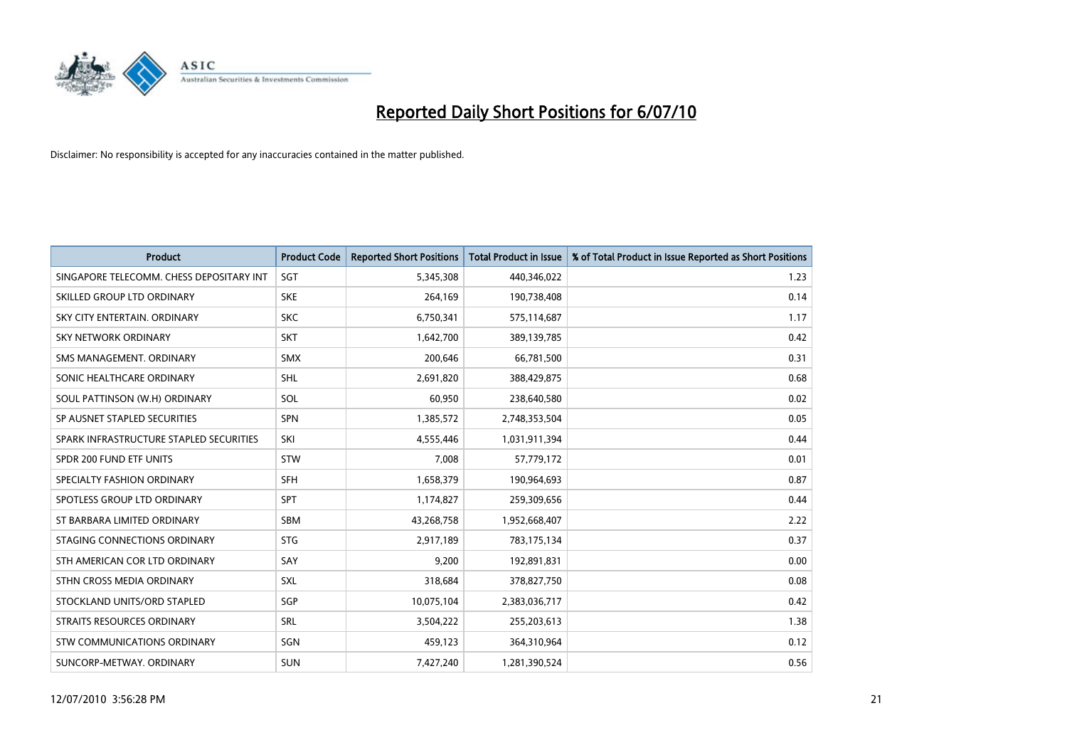

| <b>Product</b>                           | <b>Product Code</b> | <b>Reported Short Positions</b> | Total Product in Issue | % of Total Product in Issue Reported as Short Positions |
|------------------------------------------|---------------------|---------------------------------|------------------------|---------------------------------------------------------|
| SINGAPORE TELECOMM. CHESS DEPOSITARY INT | SGT                 | 5,345,308                       | 440,346,022            | 1.23                                                    |
| SKILLED GROUP LTD ORDINARY               | <b>SKE</b>          | 264,169                         | 190,738,408            | 0.14                                                    |
| SKY CITY ENTERTAIN, ORDINARY             | <b>SKC</b>          | 6,750,341                       | 575,114,687            | 1.17                                                    |
| SKY NETWORK ORDINARY                     | <b>SKT</b>          | 1,642,700                       | 389,139,785            | 0.42                                                    |
| SMS MANAGEMENT, ORDINARY                 | <b>SMX</b>          | 200,646                         | 66,781,500             | 0.31                                                    |
| SONIC HEALTHCARE ORDINARY                | <b>SHL</b>          | 2,691,820                       | 388,429,875            | 0.68                                                    |
| SOUL PATTINSON (W.H) ORDINARY            | <b>SOL</b>          | 60,950                          | 238,640,580            | 0.02                                                    |
| SP AUSNET STAPLED SECURITIES             | SPN                 | 1,385,572                       | 2,748,353,504          | 0.05                                                    |
| SPARK INFRASTRUCTURE STAPLED SECURITIES  | SKI                 | 4,555,446                       | 1,031,911,394          | 0.44                                                    |
| SPDR 200 FUND ETF UNITS                  | <b>STW</b>          | 7,008                           | 57,779,172             | 0.01                                                    |
| SPECIALTY FASHION ORDINARY               | <b>SFH</b>          | 1,658,379                       | 190,964,693            | 0.87                                                    |
| SPOTLESS GROUP LTD ORDINARY              | <b>SPT</b>          | 1,174,827                       | 259,309,656            | 0.44                                                    |
| ST BARBARA LIMITED ORDINARY              | SBM                 | 43,268,758                      | 1,952,668,407          | 2.22                                                    |
| STAGING CONNECTIONS ORDINARY             | <b>STG</b>          | 2,917,189                       | 783,175,134            | 0.37                                                    |
| STH AMERICAN COR LTD ORDINARY            | SAY                 | 9,200                           | 192,891,831            | 0.00                                                    |
| STHN CROSS MEDIA ORDINARY                | <b>SXL</b>          | 318,684                         | 378,827,750            | 0.08                                                    |
| STOCKLAND UNITS/ORD STAPLED              | SGP                 | 10,075,104                      | 2,383,036,717          | 0.42                                                    |
| <b>STRAITS RESOURCES ORDINARY</b>        | <b>SRL</b>          | 3,504,222                       | 255,203,613            | 1.38                                                    |
| STW COMMUNICATIONS ORDINARY              | SGN                 | 459,123                         | 364,310,964            | 0.12                                                    |
| SUNCORP-METWAY. ORDINARY                 | <b>SUN</b>          | 7,427,240                       | 1,281,390,524          | 0.56                                                    |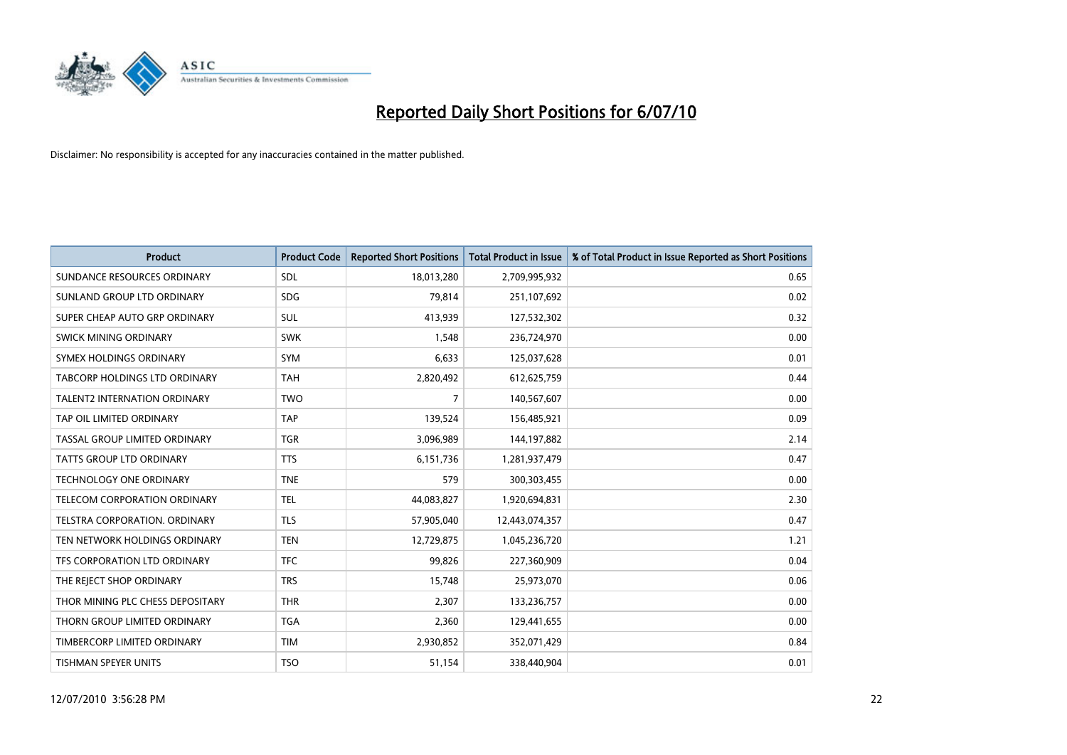

| <b>Product</b>                       | <b>Product Code</b> | <b>Reported Short Positions</b> | Total Product in Issue | % of Total Product in Issue Reported as Short Positions |
|--------------------------------------|---------------------|---------------------------------|------------------------|---------------------------------------------------------|
| SUNDANCE RESOURCES ORDINARY          | <b>SDL</b>          | 18,013,280                      | 2,709,995,932          | 0.65                                                    |
| SUNLAND GROUP LTD ORDINARY           | <b>SDG</b>          | 79,814                          | 251,107,692            | 0.02                                                    |
| SUPER CHEAP AUTO GRP ORDINARY        | <b>SUL</b>          | 413,939                         | 127,532,302            | 0.32                                                    |
| SWICK MINING ORDINARY                | <b>SWK</b>          | 1,548                           | 236,724,970            | 0.00                                                    |
| SYMEX HOLDINGS ORDINARY              | <b>SYM</b>          | 6,633                           | 125,037,628            | 0.01                                                    |
| <b>TABCORP HOLDINGS LTD ORDINARY</b> | <b>TAH</b>          | 2,820,492                       | 612,625,759            | 0.44                                                    |
| <b>TALENT2 INTERNATION ORDINARY</b>  | <b>TWO</b>          | 7                               | 140,567,607            | 0.00                                                    |
| TAP OIL LIMITED ORDINARY             | <b>TAP</b>          | 139,524                         | 156,485,921            | 0.09                                                    |
| TASSAL GROUP LIMITED ORDINARY        | <b>TGR</b>          | 3,096,989                       | 144,197,882            | 2.14                                                    |
| <b>TATTS GROUP LTD ORDINARY</b>      | <b>TTS</b>          | 6,151,736                       | 1,281,937,479          | 0.47                                                    |
| <b>TECHNOLOGY ONE ORDINARY</b>       | <b>TNE</b>          | 579                             | 300,303,455            | 0.00                                                    |
| <b>TELECOM CORPORATION ORDINARY</b>  | <b>TEL</b>          | 44,083,827                      | 1,920,694,831          | 2.30                                                    |
| TELSTRA CORPORATION, ORDINARY        | <b>TLS</b>          | 57,905,040                      | 12,443,074,357         | 0.47                                                    |
| TEN NETWORK HOLDINGS ORDINARY        | <b>TEN</b>          | 12,729,875                      | 1,045,236,720          | 1.21                                                    |
| TFS CORPORATION LTD ORDINARY         | <b>TFC</b>          | 99,826                          | 227,360,909            | 0.04                                                    |
| THE REJECT SHOP ORDINARY             | <b>TRS</b>          | 15,748                          | 25,973,070             | 0.06                                                    |
| THOR MINING PLC CHESS DEPOSITARY     | <b>THR</b>          | 2,307                           | 133,236,757            | 0.00                                                    |
| THORN GROUP LIMITED ORDINARY         | <b>TGA</b>          | 2,360                           | 129,441,655            | 0.00                                                    |
| TIMBERCORP LIMITED ORDINARY          | <b>TIM</b>          | 2,930,852                       | 352,071,429            | 0.84                                                    |
| <b>TISHMAN SPEYER UNITS</b>          | <b>TSO</b>          | 51,154                          | 338,440,904            | 0.01                                                    |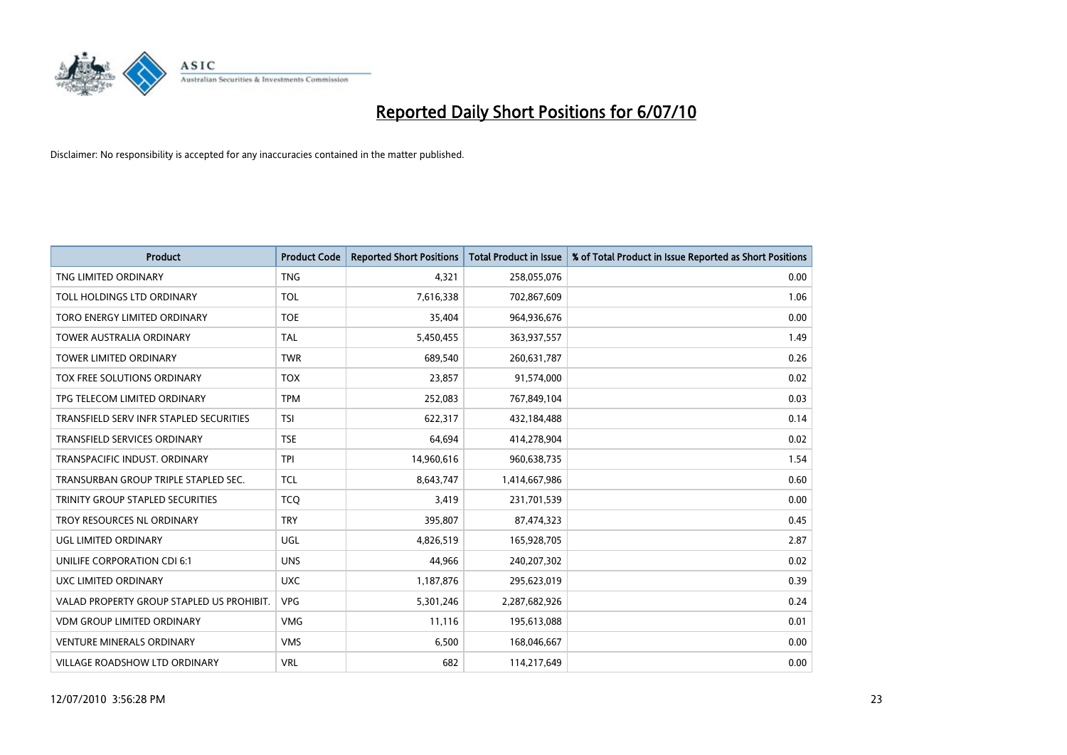

| <b>Product</b>                            | <b>Product Code</b> | <b>Reported Short Positions</b> | Total Product in Issue | % of Total Product in Issue Reported as Short Positions |
|-------------------------------------------|---------------------|---------------------------------|------------------------|---------------------------------------------------------|
| TNG LIMITED ORDINARY                      | <b>TNG</b>          | 4,321                           | 258,055,076            | 0.00                                                    |
| TOLL HOLDINGS LTD ORDINARY                | <b>TOL</b>          | 7,616,338                       | 702,867,609            | 1.06                                                    |
| TORO ENERGY LIMITED ORDINARY              | <b>TOE</b>          | 35.404                          | 964,936,676            | 0.00                                                    |
| TOWER AUSTRALIA ORDINARY                  | <b>TAL</b>          | 5,450,455                       | 363,937,557            | 1.49                                                    |
| <b>TOWER LIMITED ORDINARY</b>             | <b>TWR</b>          | 689,540                         | 260,631,787            | 0.26                                                    |
| <b>TOX FREE SOLUTIONS ORDINARY</b>        | <b>TOX</b>          | 23,857                          | 91,574,000             | 0.02                                                    |
| TPG TELECOM LIMITED ORDINARY              | <b>TPM</b>          | 252,083                         | 767,849,104            | 0.03                                                    |
| TRANSFIELD SERV INFR STAPLED SECURITIES   | <b>TSI</b>          | 622,317                         | 432,184,488            | 0.14                                                    |
| <b>TRANSFIELD SERVICES ORDINARY</b>       | <b>TSE</b>          | 64,694                          | 414,278,904            | 0.02                                                    |
| TRANSPACIFIC INDUST, ORDINARY             | <b>TPI</b>          | 14,960,616                      | 960,638,735            | 1.54                                                    |
| TRANSURBAN GROUP TRIPLE STAPLED SEC.      | <b>TCL</b>          | 8,643,747                       | 1,414,667,986          | 0.60                                                    |
| TRINITY GROUP STAPLED SECURITIES          | <b>TCQ</b>          | 3,419                           | 231,701,539            | 0.00                                                    |
| TROY RESOURCES NL ORDINARY                | <b>TRY</b>          | 395,807                         | 87,474,323             | 0.45                                                    |
| UGL LIMITED ORDINARY                      | UGL                 | 4,826,519                       | 165,928,705            | 2.87                                                    |
| UNILIFE CORPORATION CDI 6:1               | <b>UNS</b>          | 44.966                          | 240,207,302            | 0.02                                                    |
| UXC LIMITED ORDINARY                      | <b>UXC</b>          | 1,187,876                       | 295,623,019            | 0.39                                                    |
| VALAD PROPERTY GROUP STAPLED US PROHIBIT. | <b>VPG</b>          | 5,301,246                       | 2,287,682,926          | 0.24                                                    |
| <b>VDM GROUP LIMITED ORDINARY</b>         | <b>VMG</b>          | 11,116                          | 195,613,088            | 0.01                                                    |
| <b>VENTURE MINERALS ORDINARY</b>          | <b>VMS</b>          | 6,500                           | 168,046,667            | 0.00                                                    |
| VILLAGE ROADSHOW LTD ORDINARY             | <b>VRL</b>          | 682                             | 114,217,649            | 0.00                                                    |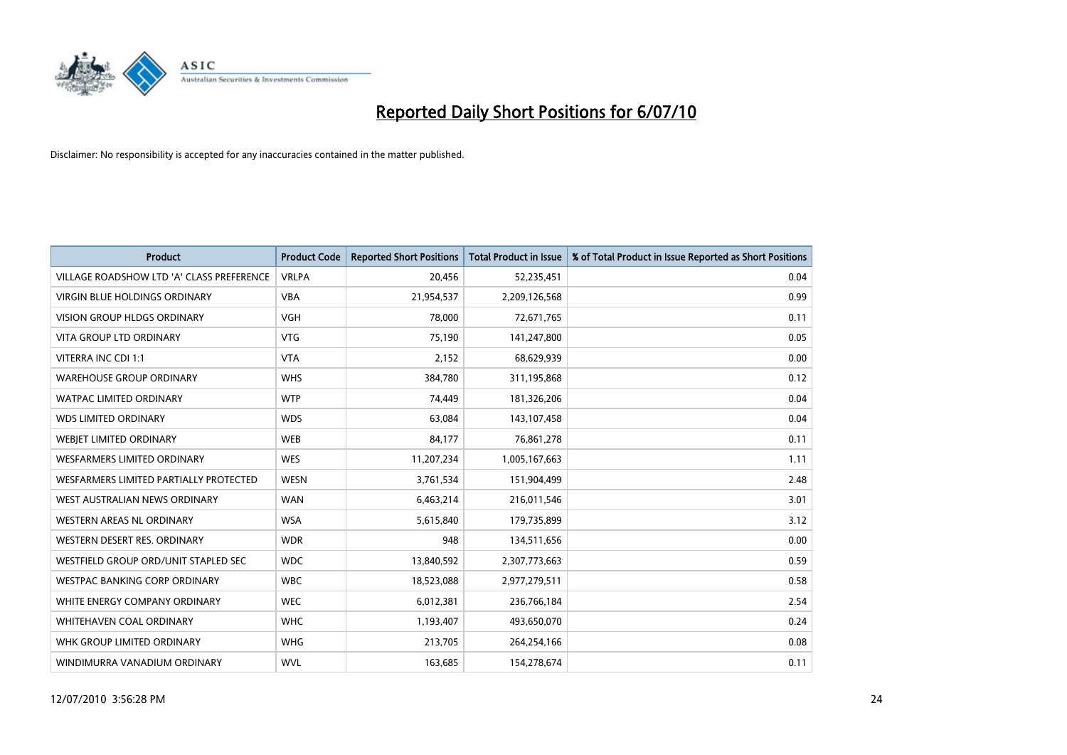

| <b>Product</b>                            | <b>Product Code</b> | <b>Reported Short Positions</b> | <b>Total Product in Issue</b> | % of Total Product in Issue Reported as Short Positions |
|-------------------------------------------|---------------------|---------------------------------|-------------------------------|---------------------------------------------------------|
| VILLAGE ROADSHOW LTD 'A' CLASS PREFERENCE | <b>VRLPA</b>        | 20,456                          | 52,235,451                    | 0.04                                                    |
| VIRGIN BLUE HOLDINGS ORDINARY             | <b>VBA</b>          | 21,954,537                      | 2,209,126,568                 | 0.99                                                    |
| VISION GROUP HLDGS ORDINARY               | <b>VGH</b>          | 78,000                          | 72,671,765                    | 0.11                                                    |
| <b>VITA GROUP LTD ORDINARY</b>            | <b>VTG</b>          | 75,190                          | 141,247,800                   | 0.05                                                    |
| VITERRA INC CDI 1:1                       | <b>VTA</b>          | 2,152                           | 68,629,939                    | 0.00                                                    |
| <b>WAREHOUSE GROUP ORDINARY</b>           | <b>WHS</b>          | 384,780                         | 311,195,868                   | 0.12                                                    |
| <b>WATPAC LIMITED ORDINARY</b>            | <b>WTP</b>          | 74,449                          | 181,326,206                   | 0.04                                                    |
| <b>WDS LIMITED ORDINARY</b>               | <b>WDS</b>          | 63,084                          | 143,107,458                   | 0.04                                                    |
| <b>WEBJET LIMITED ORDINARY</b>            | <b>WEB</b>          | 84,177                          | 76,861,278                    | 0.11                                                    |
| <b>WESFARMERS LIMITED ORDINARY</b>        | <b>WES</b>          | 11,207,234                      | 1,005,167,663                 | 1.11                                                    |
| WESFARMERS LIMITED PARTIALLY PROTECTED    | <b>WESN</b>         | 3,761,534                       | 151,904,499                   | 2.48                                                    |
| WEST AUSTRALIAN NEWS ORDINARY             | <b>WAN</b>          | 6,463,214                       | 216,011,546                   | 3.01                                                    |
| <b>WESTERN AREAS NL ORDINARY</b>          | <b>WSA</b>          | 5,615,840                       | 179,735,899                   | 3.12                                                    |
| WESTERN DESERT RES. ORDINARY              | <b>WDR</b>          | 948                             | 134,511,656                   | 0.00                                                    |
| WESTFIELD GROUP ORD/UNIT STAPLED SEC      | <b>WDC</b>          | 13,840,592                      | 2,307,773,663                 | 0.59                                                    |
| WESTPAC BANKING CORP ORDINARY             | <b>WBC</b>          | 18,523,088                      | 2,977,279,511                 | 0.58                                                    |
| WHITE ENERGY COMPANY ORDINARY             | <b>WEC</b>          | 6,012,381                       | 236,766,184                   | 2.54                                                    |
| WHITEHAVEN COAL ORDINARY                  | <b>WHC</b>          | 1,193,407                       | 493,650,070                   | 0.24                                                    |
| WHK GROUP LIMITED ORDINARY                | <b>WHG</b>          | 213,705                         | 264,254,166                   | 0.08                                                    |
| WINDIMURRA VANADIUM ORDINARY              | <b>WVL</b>          | 163,685                         | 154,278,674                   | 0.11                                                    |